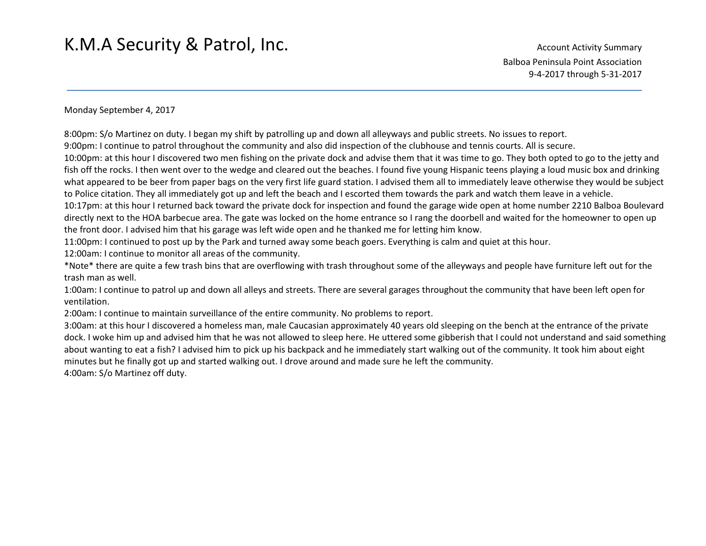Monday September 4, 2017

8:00pm: S/o Martinez on duty. I began my shift by patrolling up and down all alleyways and public streets. No issues to report.

9:00pm: I continue to patrol throughout the community and also did inspection of the clubhouse and tennis courts. All is secure.

10:00pm: at this hour I discovered two men fishing on the private dock and advise them that it was time to go. They both opted to go to the jetty and fish off the rocks. I then went over to the wedge and cleared out the beaches. I found five young Hispanic teens playing a loud music box and drinking what appeared to be beer from paper bags on the very first life guard station. I advised them all to immediately leave otherwise they would be subject to Police citation. They all immediately got up and left the beach and I escorted them towards the park and watch them leave in a vehicle.

10:17pm: at this hour I returned back toward the private dock for inspection and found the garage wide open at home number 2210 Balboa Boulevard directly next to the HOA barbecue area. The gate was locked on the home entrance so I rang the doorbell and waited for the homeowner to open up the front door. I advised him that his garage was left wide open and he thanked me for letting him know.

11:00pm: I continued to post up by the Park and turned away some beach goers. Everything is calm and quiet at this hour.

12:00am: I continue to monitor all areas of the community.

\*Note\* there are quite a few trash bins that are overflowing with trash throughout some of the alleyways and people have furniture left out for the trash man as well.

1:00am: I continue to patrol up and down all alleys and streets. There are several garages throughout the community that have been left open for ventilation.

2:00am: I continue to maintain surveillance of the entire community. No problems to report.

3:00am: at this hour I discovered a homeless man, male Caucasian approximately 40 years old sleeping on the bench at the entrance of the private dock. I woke him up and advised him that he was not allowed to sleep here. He uttered some gibberish that I could not understand and said something about wanting to eat a fish? I advised him to pick up his backpack and he immediately start walking out of the community. It took him about eight minutes but he finally got up and started walking out. I drove around and made sure he left the community.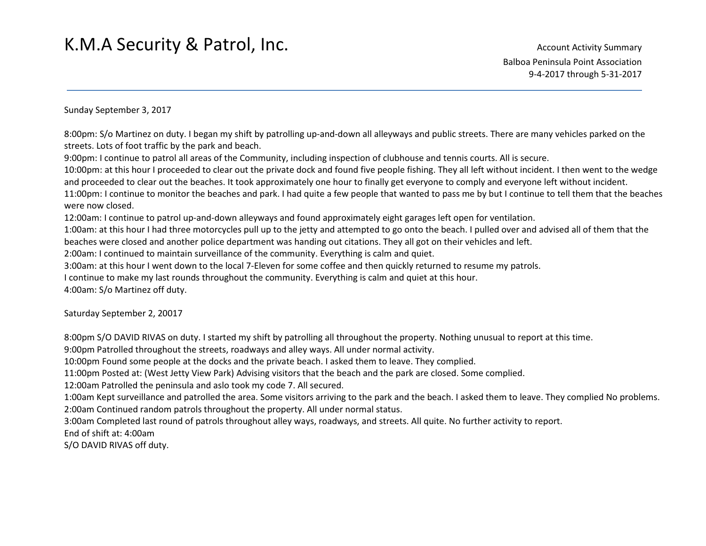#### Sunday September 3, 2017

8:00pm: S/o Martinez on duty. I began my shift by patrolling up-and-down all alleyways and public streets. There are many vehicles parked on the streets. Lots of foot traffic by the park and beach.

9:00pm: I continue to patrol all areas of the Community, including inspection of clubhouse and tennis courts. All is secure.

10:00pm: at this hour I proceeded to clear out the private dock and found five people fishing. They all left without incident. I then went to the wedge and proceeded to clear out the beaches. It took approximately one hour to finally get everyone to comply and everyone left without incident.

11:00pm: I continue to monitor the beaches and park. I had quite a few people that wanted to pass me by but I continue to tell them that the beaches were now closed.

12:00am: I continue to patrol up-and-down alleyways and found approximately eight garages left open for ventilation.

1:00am: at this hour I had three motorcycles pull up to the jetty and attempted to go onto the beach. I pulled over and advised all of them that the beaches were closed and another police department was handing out citations. They all got on their vehicles and left.

2:00am: I continued to maintain surveillance of the community. Everything is calm and quiet.

3:00am: at this hour I went down to the local 7-Eleven for some coffee and then quickly returned to resume my patrols.

I continue to make my last rounds throughout the community. Everything is calm and quiet at this hour.

4:00am: S/o Martinez off duty.

Saturday September 2, 20017

8:00pm S/O DAVID RIVAS on duty. I started my shift by patrolling all throughout the property. Nothing unusual to report at this time.

9:00pm Patrolled throughout the streets, roadways and alley ways. All under normal activity.

10:00pm Found some people at the docks and the private beach. I asked them to leave. They complied.

11:00pm Posted at: (West Jetty View Park) Advising visitors that the beach and the park are closed. Some complied.

12:00am Patrolled the peninsula and aslo took my code 7. All secured.

1:00am Kept surveillance and patrolled the area. Some visitors arriving to the park and the beach. I asked them to leave. They complied No problems. 2:00am Continued random patrols throughout the property. All under normal status.

3:00am Completed last round of patrols throughout alley ways, roadways, and streets. All quite. No further activity to report.

End of shift at: 4:00am

S/O DAVID RIVAS off duty.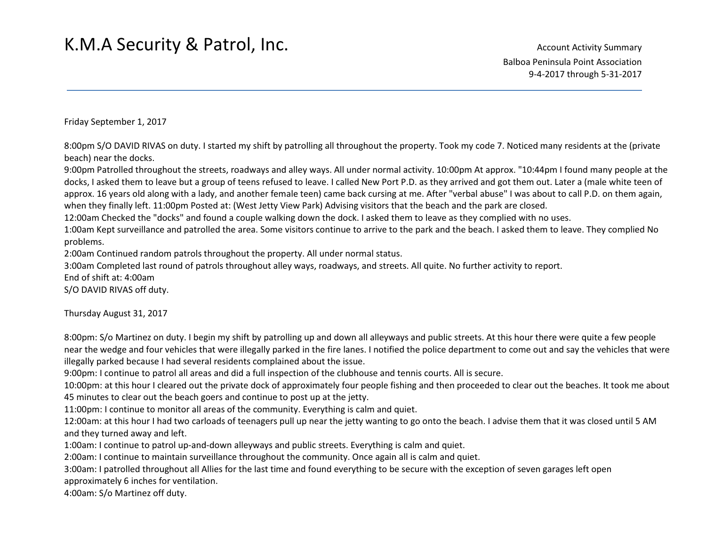Friday September 1, 2017

8:00pm S/O DAVID RIVAS on duty. I started my shift by patrolling all throughout the property. Took my code 7. Noticed many residents at the (private beach) near the docks.

9:00pm Patrolled throughout the streets, roadways and alley ways. All under normal activity. 10:00pm At approx. "10:44pm I found many people at the docks, I asked them to leave but a group of teens refused to leave. I called New Port P.D. as they arrived and got them out. Later a (male white teen of approx. 16 years old along with a lady, and another female teen) came back cursing at me. After "verbal abuse" I was about to call P.D. on them again, when they finally left. 11:00pm Posted at: (West Jetty View Park) Advising visitors that the beach and the park are closed.

12:00am Checked the "docks" and found a couple walking down the dock. I asked them to leave as they complied with no uses.

1:00am Kept surveillance and patrolled the area. Some visitors continue to arrive to the park and the beach. I asked them to leave. They complied No problems.

2:00am Continued random patrols throughout the property. All under normal status.

3:00am Completed last round of patrols throughout alley ways, roadways, and streets. All quite. No further activity to report.

End of shift at: 4:00am

S/O DAVID RIVAS off duty.

Thursday August 31, 2017

8:00pm: S/o Martinez on duty. I begin my shift by patrolling up and down all alleyways and public streets. At this hour there were quite a few people near the wedge and four vehicles that were illegally parked in the fire lanes. I notified the police department to come out and say the vehicles that were illegally parked because I had several residents complained about the issue.

9:00pm: I continue to patrol all areas and did a full inspection of the clubhouse and tennis courts. All is secure.

10:00pm: at this hour I cleared out the private dock of approximately four people fishing and then proceeded to clear out the beaches. It took me about 45 minutes to clear out the beach goers and continue to post up at the jetty.

11:00pm: I continue to monitor all areas of the community. Everything is calm and quiet.

12:00am: at this hour I had two carloads of teenagers pull up near the jetty wanting to go onto the beach. I advise them that it was closed until 5 AM and they turned away and left.

1:00am: I continue to patrol up-and-down alleyways and public streets. Everything is calm and quiet.

2:00am: I continue to maintain surveillance throughout the community. Once again all is calm and quiet.

 3:00am: I patrolled throughout all Allies for the last time and found everything to be secure with the exception of seven garages left open approximately 6 inches for ventilation.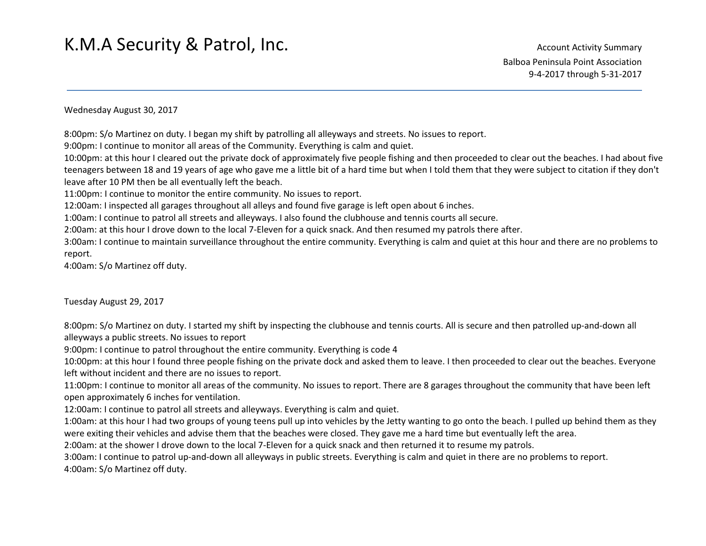Wednesday August 30, 2017

8:00pm: S/o Martinez on duty. I began my shift by patrolling all alleyways and streets. No issues to report.

9:00pm: I continue to monitor all areas of the Community. Everything is calm and quiet.

10:00pm: at this hour I cleared out the private dock of approximately five people fishing and then proceeded to clear out the beaches. I had about five teenagers between 18 and 19 years of age who gave me a little bit of a hard time but when I told them that they were subject to citation if they don't leave after 10 PM then be all eventually left the beach.

11:00pm: I continue to monitor the entire community. No issues to report.

12:00am: I inspected all garages throughout all alleys and found five garage is left open about 6 inches.

1:00am: I continue to patrol all streets and alleyways. I also found the clubhouse and tennis courts all secure.

2:00am: at this hour I drove down to the local 7-Eleven for a quick snack. And then resumed my patrols there after.

3:00am: I continue to maintain surveillance throughout the entire community. Everything is calm and quiet at this hour and there are no problems to report.

4:00am: S/o Martinez off duty.

#### Tuesday August 29, 2017

8:00pm: S/o Martinez on duty. I started my shift by inspecting the clubhouse and tennis courts. All is secure and then patrolled up-and-down all alleyways a public streets. No issues to report

9:00pm: I continue to patrol throughout the entire community. Everything is code 4

10:00pm: at this hour I found three people fishing on the private dock and asked them to leave. I then proceeded to clear out the beaches. Everyone left without incident and there are no issues to report.

11:00pm: I continue to monitor all areas of the community. No issues to report. There are 8 garages throughout the community that have been left open approximately 6 inches for ventilation.

12:00am: I continue to patrol all streets and alleyways. Everything is calm and quiet.

1:00am: at this hour I had two groups of young teens pull up into vehicles by the Jetty wanting to go onto the beach. I pulled up behind them as they were exiting their vehicles and advise them that the beaches were closed. They gave me a hard time but eventually left the area.

2:00am: at the shower I drove down to the local 7-Eleven for a quick snack and then returned it to resume my patrols.

3:00am: I continue to patrol up-and-down all alleyways in public streets. Everything is calm and quiet in there are no problems to report.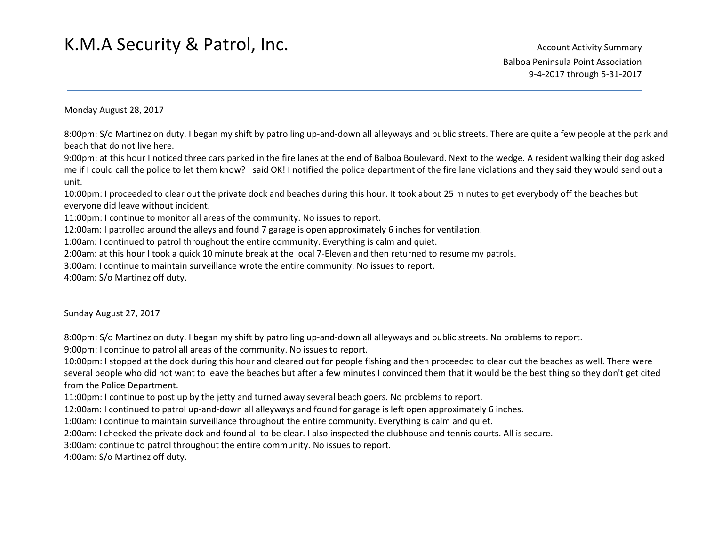Monday August 28, 2017

8:00pm: S/o Martinez on duty. I began my shift by patrolling up-and-down all alleyways and public streets. There are quite a few people at the park and beach that do not live here.

9:00pm: at this hour I noticed three cars parked in the fire lanes at the end of Balboa Boulevard. Next to the wedge. A resident walking their dog asked me if I could call the police to let them know? I said OK! I notified the police department of the fire lane violations and they said they would send out a unit.

10:00pm: I proceeded to clear out the private dock and beaches during this hour. It took about 25 minutes to get everybody off the beaches but everyone did leave without incident.

11:00pm: I continue to monitor all areas of the community. No issues to report.

12:00am: I patrolled around the alleys and found 7 garage is open approximately 6 inches for ventilation.

1:00am: I continued to patrol throughout the entire community. Everything is calm and quiet.

2:00am: at this hour I took a quick 10 minute break at the local 7-Eleven and then returned to resume my patrols.

3:00am: I continue to maintain surveillance wrote the entire community. No issues to report.

4:00am: S/o Martinez off duty.

Sunday August 27, 2017

8:00pm: S/o Martinez on duty. I began my shift by patrolling up-and-down all alleyways and public streets. No problems to report.

9:00pm: I continue to patrol all areas of the community. No issues to report.

10:00pm: I stopped at the dock during this hour and cleared out for people fishing and then proceeded to clear out the beaches as well. There were several people who did not want to leave the beaches but after a few minutes I convinced them that it would be the best thing so they don't get cited from the Police Department.

11:00pm: I continue to post up by the jetty and turned away several beach goers. No problems to report.

12:00am: I continued to patrol up-and-down all alleyways and found for garage is left open approximately 6 inches.

1:00am: I continue to maintain surveillance throughout the entire community. Everything is calm and quiet.

2:00am: I checked the private dock and found all to be clear. I also inspected the clubhouse and tennis courts. All is secure.

3:00am: continue to patrol throughout the entire community. No issues to report.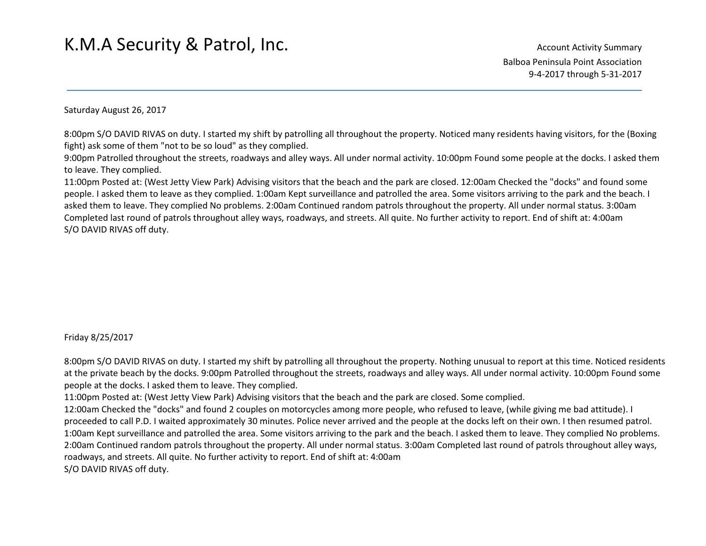Saturday August 26, 2017

8:00pm S/O DAVID RIVAS on duty. I started my shift by patrolling all throughout the property. Noticed many residents having visitors, for the (Boxing fight) ask some of them "not to be so loud" as they complied.

9:00pm Patrolled throughout the streets, roadways and alley ways. All under normal activity. 10:00pm Found some people at the docks. I asked them to leave. They complied.

11:00pm Posted at: (West Jetty View Park) Advising visitors that the beach and the park are closed. 12:00am Checked the "docks" and found some people. I asked them to leave as they complied. 1:00am Kept surveillance and patrolled the area. Some visitors arriving to the park and the beach. I asked them to leave. They complied No problems. 2:00am Continued random patrols throughout the property. All under normal status. 3:00am Completed last round of patrols throughout alley ways, roadways, and streets. All quite. No further activity to report. End of shift at: 4:00am S/O DAVID RIVAS off duty.

#### Friday 8/25/2017

8:00pm S/O DAVID RIVAS on duty. I started my shift by patrolling all throughout the property. Nothing unusual to report at this time. Noticed residents at the private beach by the docks. 9:00pm Patrolled throughout the streets, roadways and alley ways. All under normal activity. 10:00pm Found some people at the docks. I asked them to leave. They complied.

11:00pm Posted at: (West Jetty View Park) Advising visitors that the beach and the park are closed. Some complied.

12:00am Checked the "docks" and found 2 couples on motorcycles among more people, who refused to leave, (while giving me bad attitude). I proceeded to call P.D. I waited approximately 30 minutes. Police never arrived and the people at the docks left on their own. I then resumed patrol. 1:00am Kept surveillance and patrolled the area. Some visitors arriving to the park and the beach. I asked them to leave. They complied No problems. 2:00am Continued random patrols throughout the property. All under normal status. 3:00am Completed last round of patrols throughout alley ways, roadways, and streets. All quite. No further activity to report. End of shift at: 4:00am

S/O DAVID RIVAS off duty.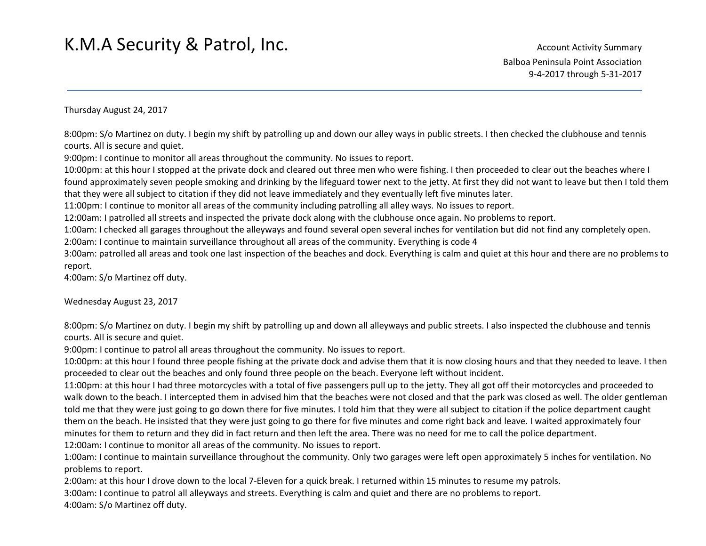Thursday August 24, 2017

8:00pm: S/o Martinez on duty. I begin my shift by patrolling up and down our alley ways in public streets. I then checked the clubhouse and tennis courts. All is secure and quiet.

9:00pm: I continue to monitor all areas throughout the community. No issues to report.

10:00pm: at this hour I stopped at the private dock and cleared out three men who were fishing. I then proceeded to clear out the beaches where I found approximately seven people smoking and drinking by the lifeguard tower next to the jetty. At first they did not want to leave but then I told them that they were all subject to citation if they did not leave immediately and they eventually left five minutes later.

11:00pm: I continue to monitor all areas of the community including patrolling all alley ways. No issues to report.

12:00am: I patrolled all streets and inspected the private dock along with the clubhouse once again. No problems to report.

1:00am: I checked all garages throughout the alleyways and found several open several inches for ventilation but did not find any completely open.

2:00am: I continue to maintain surveillance throughout all areas of the community. Everything is code 4

3:00am: patrolled all areas and took one last inspection of the beaches and dock. Everything is calm and quiet at this hour and there are no problems to report.

4:00am: S/o Martinez off duty.

Wednesday August 23, 2017

8:00pm: S/o Martinez on duty. I begin my shift by patrolling up and down all alleyways and public streets. I also inspected the clubhouse and tennis courts. All is secure and quiet.

9:00pm: I continue to patrol all areas throughout the community. No issues to report.

10:00pm: at this hour I found three people fishing at the private dock and advise them that it is now closing hours and that they needed to leave. I then proceeded to clear out the beaches and only found three people on the beach. Everyone left without incident.

11:00pm: at this hour I had three motorcycles with a total of five passengers pull up to the jetty. They all got off their motorcycles and proceeded to walk down to the beach. I intercepted them in advised him that the beaches were not closed and that the park was closed as well. The older gentleman told me that they were just going to go down there for five minutes. I told him that they were all subject to citation if the police department caught them on the beach. He insisted that they were just going to go there for five minutes and come right back and leave. I waited approximately four minutes for them to return and they did in fact return and then left the area. There was no need for me to call the police department.

12:00am: I continue to monitor all areas of the community. No issues to report.

 1:00am: I continue to maintain surveillance throughout the community. Only two garages were left open approximately 5 inches for ventilation. No problems to report.

2:00am: at this hour I drove down to the local 7-Eleven for a quick break. I returned within 15 minutes to resume my patrols.

3:00am: I continue to patrol all alleyways and streets. Everything is calm and quiet and there are no problems to report.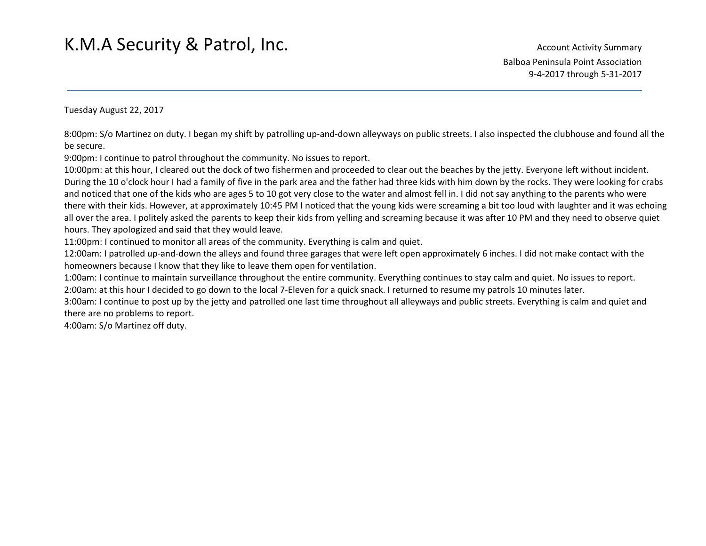Account Activity Summary Balboa Peninsula Point Association 9-4-2017 through 5-31-2017

Tuesday August 22, 2017

8:00pm: S/o Martinez on duty. I began my shift by patrolling up-and-down alleyways on public streets. I also inspected the clubhouse and found all the be secure.

9:00pm: I continue to patrol throughout the community. No issues to report.

10:00pm: at this hour, I cleared out the dock of two fishermen and proceeded to clear out the beaches by the jetty. Everyone left without incident. During the 10 o'clock hour I had a family of five in the park area and the father had three kids with him down by the rocks. They were looking for crabs and noticed that one of the kids who are ages 5 to 10 got very close to the water and almost fell in. I did not say anything to the parents who were there with their kids. However, at approximately 10:45 PM I noticed that the young kids were screaming a bit too loud with laughter and it was echoing all over the area. I politely asked the parents to keep their kids from yelling and screaming because it was after 10 PM and they need to observe quiet hours. They apologized and said that they would leave.

11:00pm: I continued to monitor all areas of the community. Everything is calm and quiet.

12:00am: I patrolled up-and-down the alleys and found three garages that were left open approximately 6 inches. I did not make contact with the homeowners because I know that they like to leave them open for ventilation.

1:00am: I continue to maintain surveillance throughout the entire community. Everything continues to stay calm and quiet. No issues to report.

2:00am: at this hour I decided to go down to the local 7-Eleven for a quick snack. I returned to resume my patrols 10 minutes later.

3:00am: I continue to post up by the jetty and patrolled one last time throughout all alleyways and public streets. Everything is calm and quiet and there are no problems to report.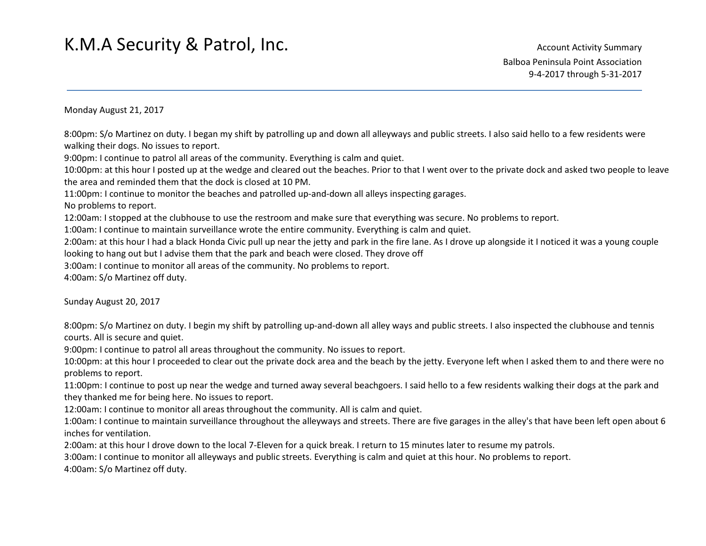Monday August 21, 2017

8:00pm: S/o Martinez on duty. I began my shift by patrolling up and down all alleyways and public streets. I also said hello to a few residents were walking their dogs. No issues to report.

9:00pm: I continue to patrol all areas of the community. Everything is calm and quiet.

10:00pm: at this hour I posted up at the wedge and cleared out the beaches. Prior to that I went over to the private dock and asked two people to leave the area and reminded them that the dock is closed at 10 PM.

11:00pm: I continue to monitor the beaches and patrolled up-and-down all alleys inspecting garages.

No problems to report.

12:00am: I stopped at the clubhouse to use the restroom and make sure that everything was secure. No problems to report.

1:00am: I continue to maintain surveillance wrote the entire community. Everything is calm and quiet.

2:00am: at this hour I had a black Honda Civic pull up near the jetty and park in the fire lane. As I drove up alongside it I noticed it was a young couple looking to hang out but I advise them that the park and beach were closed. They drove off

3:00am: I continue to monitor all areas of the community. No problems to report.

4:00am: S/o Martinez off duty.

Sunday August 20, 2017

8:00pm: S/o Martinez on duty. I begin my shift by patrolling up-and-down all alley ways and public streets. I also inspected the clubhouse and tennis courts. All is secure and quiet.

9:00pm: I continue to patrol all areas throughout the community. No issues to report.

10:00pm: at this hour I proceeded to clear out the private dock area and the beach by the jetty. Everyone left when I asked them to and there were no problems to report.

11:00pm: I continue to post up near the wedge and turned away several beachgoers. I said hello to a few residents walking their dogs at the park and they thanked me for being here. No issues to report.

12:00am: I continue to monitor all areas throughout the community. All is calm and quiet.

1:00am: I continue to maintain surveillance throughout the alleyways and streets. There are five garages in the alley's that have been left open about 6 inches for ventilation.

2:00am: at this hour I drove down to the local 7-Eleven for a quick break. I return to 15 minutes later to resume my patrols.

3:00am: I continue to monitor all alleyways and public streets. Everything is calm and quiet at this hour. No problems to report.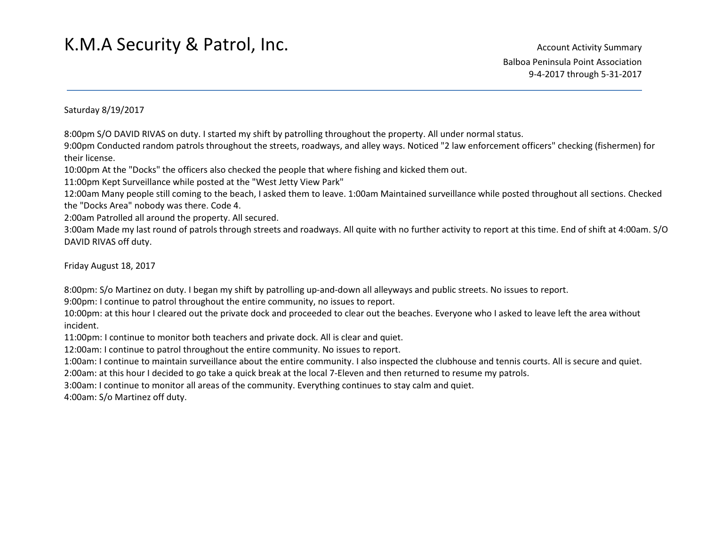Saturday 8/19/2017

8:00pm S/O DAVID RIVAS on duty. I started my shift by patrolling throughout the property. All under normal status.

9:00pm Conducted random patrols throughout the streets, roadways, and alley ways. Noticed "2 law enforcement officers" checking (fishermen) for their license.

10:00pm At the "Docks" the officers also checked the people that where fishing and kicked them out.

11:00pm Kept Surveillance while posted at the "West Jetty View Park"

12:00am Many people still coming to the beach, I asked them to leave. 1:00am Maintained surveillance while posted throughout all sections. Checked the "Docks Area" nobody was there. Code 4.

2:00am Patrolled all around the property. All secured.

3:00am Made my last round of patrols through streets and roadways. All quite with no further activity to report at this time. End of shift at 4:00am. S/O DAVID RIVAS off duty.

Friday August 18, 2017

8:00pm: S/o Martinez on duty. I began my shift by patrolling up-and-down all alleyways and public streets. No issues to report.

9:00pm: I continue to patrol throughout the entire community, no issues to report.

10:00pm: at this hour I cleared out the private dock and proceeded to clear out the beaches. Everyone who I asked to leave left the area without incident.

11:00pm: I continue to monitor both teachers and private dock. All is clear and quiet.

12:00am: I continue to patrol throughout the entire community. No issues to report.

1:00am: I continue to maintain surveillance about the entire community. I also inspected the clubhouse and tennis courts. All is secure and quiet.

2:00am: at this hour I decided to go take a quick break at the local 7-Eleven and then returned to resume my patrols.

3:00am: I continue to monitor all areas of the community. Everything continues to stay calm and quiet.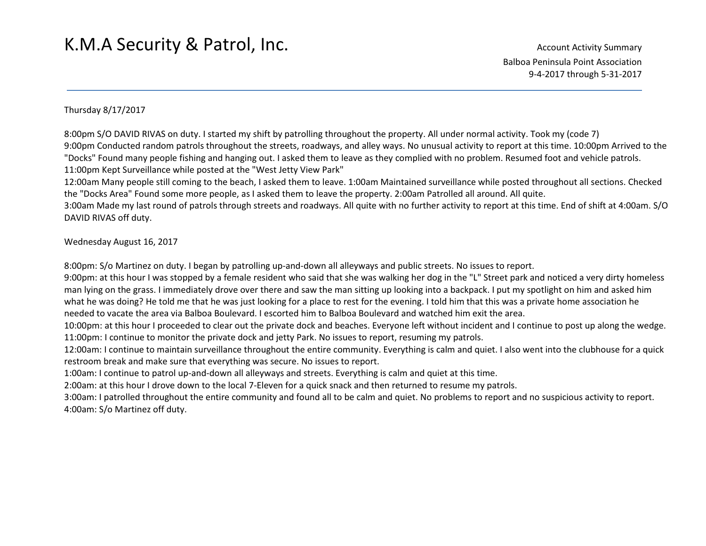#### Thursday 8/17/2017

8:00pm S/O DAVID RIVAS on duty. I started my shift by patrolling throughout the property. All under normal activity. Took my (code 7) 9:00pm Conducted random patrols throughout the streets, roadways, and alley ways. No unusual activity to report at this time. 10:00pm Arrived to the "Docks" Found many people fishing and hanging out. I asked them to leave as they complied with no problem. Resumed foot and vehicle patrols. 11:00pm Kept Surveillance while posted at the "West Jetty View Park"

12:00am Many people still coming to the beach, I asked them to leave. 1:00am Maintained surveillance while posted throughout all sections. Checked the "Docks Area" Found some more people, as I asked them to leave the property. 2:00am Patrolled all around. All quite.

3:00am Made my last round of patrols through streets and roadways. All quite with no further activity to report at this time. End of shift at 4:00am. S/O DAVID RIVAS off duty.

Wednesday August 16, 2017

8:00pm: S/o Martinez on duty. I began by patrolling up-and-down all alleyways and public streets. No issues to report.

9:00pm: at this hour I was stopped by a female resident who said that she was walking her dog in the "L" Street park and noticed a very dirty homeless man lying on the grass. I immediately drove over there and saw the man sitting up looking into a backpack. I put my spotlight on him and asked him what he was doing? He told me that he was just looking for a place to rest for the evening. I told him that this was a private home association he needed to vacate the area via Balboa Boulevard. I escorted him to Balboa Boulevard and watched him exit the area.

10:00pm: at this hour I proceeded to clear out the private dock and beaches. Everyone left without incident and I continue to post up along the wedge. 11:00pm: I continue to monitor the private dock and jetty Park. No issues to report, resuming my patrols.

12:00am: I continue to maintain surveillance throughout the entire community. Everything is calm and quiet. I also went into the clubhouse for a quick restroom break and make sure that everything was secure. No issues to report.

1:00am: I continue to patrol up-and-down all alleyways and streets. Everything is calm and quiet at this time.

2:00am: at this hour I drove down to the local 7-Eleven for a quick snack and then returned to resume my patrols.

3:00am: I patrolled throughout the entire community and found all to be calm and quiet. No problems to report and no suspicious activity to report. 4:00am: S/o Martinez off duty.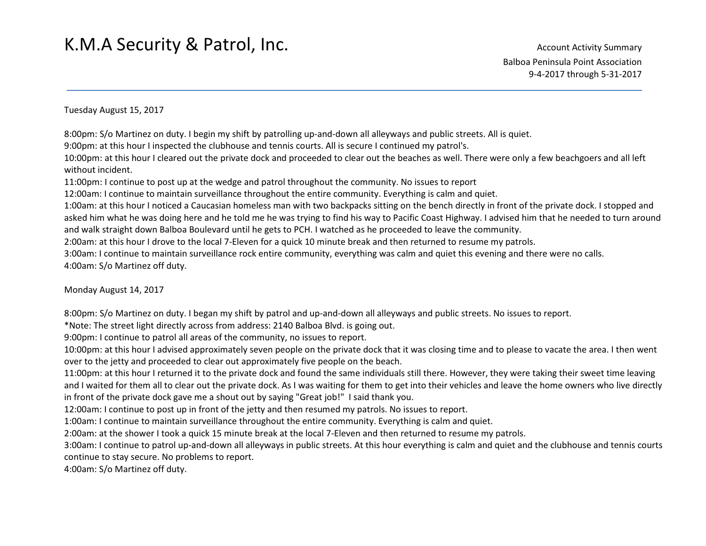Tuesday August 15, 2017

8:00pm: S/o Martinez on duty. I begin my shift by patrolling up-and-down all alleyways and public streets. All is quiet.

9:00pm: at this hour I inspected the clubhouse and tennis courts. All is secure I continued my patrol's.

10:00pm: at this hour I cleared out the private dock and proceeded to clear out the beaches as well. There were only a few beachgoers and all left without incident.

11:00pm: I continue to post up at the wedge and patrol throughout the community. No issues to report

12:00am: I continue to maintain surveillance throughout the entire community. Everything is calm and quiet.

1:00am: at this hour I noticed a Caucasian homeless man with two backpacks sitting on the bench directly in front of the private dock. I stopped and asked him what he was doing here and he told me he was trying to find his way to Pacific Coast Highway. I advised him that he needed to turn around and walk straight down Balboa Boulevard until he gets to PCH. I watched as he proceeded to leave the community.

2:00am: at this hour I drove to the local 7-Eleven for a quick 10 minute break and then returned to resume my patrols.

3:00am: I continue to maintain surveillance rock entire community, everything was calm and quiet this evening and there were no calls. 4:00am: S/o Martinez off duty.

Monday August 14, 2017

8:00pm: S/o Martinez on duty. I began my shift by patrol and up-and-down all alleyways and public streets. No issues to report.

\*Note: The street light directly across from address: 2140 Balboa Blvd. is going out.

9:00pm: I continue to patrol all areas of the community, no issues to report.

10:00pm: at this hour I advised approximately seven people on the private dock that it was closing time and to please to vacate the area. I then went over to the jetty and proceeded to clear out approximately five people on the beach.

11:00pm: at this hour I returned it to the private dock and found the same individuals still there. However, they were taking their sweet time leaving and I waited for them all to clear out the private dock. As I was waiting for them to get into their vehicles and leave the home owners who live directly in front of the private dock gave me a shout out by saying "Great job!" I said thank you.

12:00am: I continue to post up in front of the jetty and then resumed my patrols. No issues to report.

1:00am: I continue to maintain surveillance throughout the entire community. Everything is calm and quiet.

2:00am: at the shower I took a quick 15 minute break at the local 7-Eleven and then returned to resume my patrols.

3:00am: I continue to patrol up-and-down all alleyways in public streets. At this hour everything is calm and quiet and the clubhouse and tennis courts continue to stay secure. No problems to report.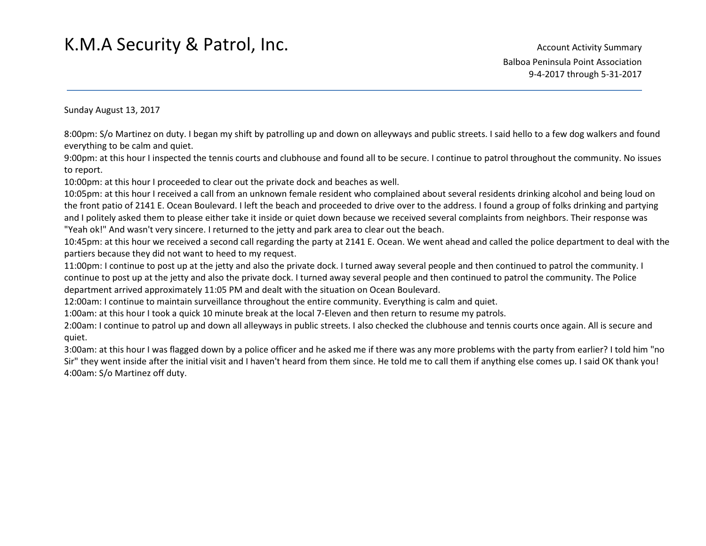Account Activity Summary Balboa Peninsula Point Association 9-4-2017 through 5-31-2017

Sunday August 13, 2017

8:00pm: S/o Martinez on duty. I began my shift by patrolling up and down on alleyways and public streets. I said hello to a few dog walkers and found everything to be calm and quiet.

9:00pm: at this hour I inspected the tennis courts and clubhouse and found all to be secure. I continue to patrol throughout the community. No issues to report.

10:00pm: at this hour I proceeded to clear out the private dock and beaches as well.

10:05pm: at this hour I received a call from an unknown female resident who complained about several residents drinking alcohol and being loud on the front patio of 2141 E. Ocean Boulevard. I left the beach and proceeded to drive over to the address. I found a group of folks drinking and partying and I politely asked them to please either take it inside or quiet down because we received several complaints from neighbors. Their response was "Yeah ok!" And wasn't very sincere. I returned to the jetty and park area to clear out the beach.

10:45pm: at this hour we received a second call regarding the party at 2141 E. Ocean. We went ahead and called the police department to deal with the partiers because they did not want to heed to my request.

11:00pm: I continue to post up at the jetty and also the private dock. I turned away several people and then continued to patrol the community. I continue to post up at the jetty and also the private dock. I turned away several people and then continued to patrol the community. The Police department arrived approximately 11:05 PM and dealt with the situation on Ocean Boulevard.

12:00am: I continue to maintain surveillance throughout the entire community. Everything is calm and quiet.

1:00am: at this hour I took a quick 10 minute break at the local 7-Eleven and then return to resume my patrols.

2:00am: I continue to patrol up and down all alleyways in public streets. I also checked the clubhouse and tennis courts once again. All is secure and quiet.

3:00am: at this hour I was flagged down by a police officer and he asked me if there was any more problems with the party from earlier? I told him "no Sir" they went inside after the initial visit and I haven't heard from them since. He told me to call them if anything else comes up. I said OK thank you! 4:00am: S/o Martinez off duty.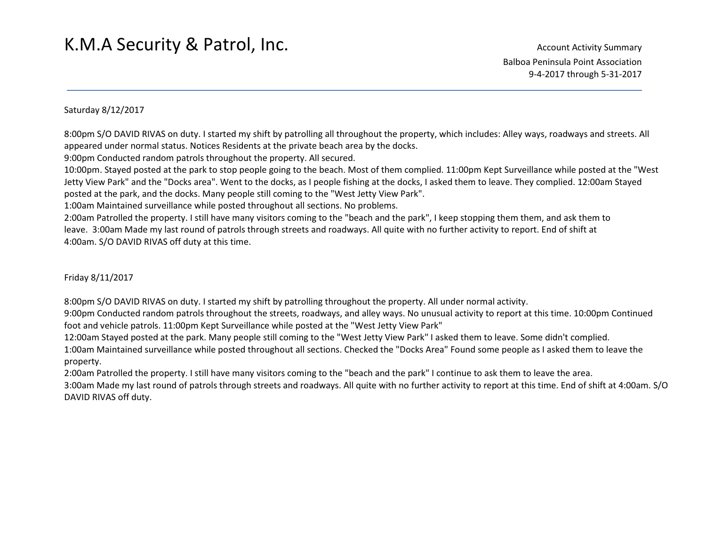#### Saturday 8/12/2017

8:00pm S/O DAVID RIVAS on duty. I started my shift by patrolling all throughout the property, which includes: Alley ways, roadways and streets. All appeared under normal status. Notices Residents at the private beach area by the docks.

9:00pm Conducted random patrols throughout the property. All secured.

10:00pm. Stayed posted at the park to stop people going to the beach. Most of them complied. 11:00pm Kept Surveillance while posted at the "West Jetty View Park" and the "Docks area". Went to the docks, as I people fishing at the docks, I asked them to leave. They complied. 12:00am Stayed posted at the park, and the docks. Many people still coming to the "West Jetty View Park".

1:00am Maintained surveillance while posted throughout all sections. No problems.

 2:00am Patrolled the property. I still have many visitors coming to the "beach and the park", I keep stopping them them, and ask them to leave. 3:00am Made my last round of patrols through streets and roadways. All quite with no further activity to report. End of shift at 4:00am. S/O DAVID RIVAS off duty at this time.

Friday 8/11/2017

8:00pm S/O DAVID RIVAS on duty. I started my shift by patrolling throughout the property. All under normal activity.

9:00pm Conducted random patrols throughout the streets, roadways, and alley ways. No unusual activity to report at this time. 10:00pm Continued foot and vehicle patrols. 11:00pm Kept Surveillance while posted at the "West Jetty View Park"

12:00am Stayed posted at the park. Many people still coming to the "West Jetty View Park" I asked them to leave. Some didn't complied.

1:00am Maintained surveillance while posted throughout all sections. Checked the "Docks Area" Found some people as I asked them to leave the property.

2:00am Patrolled the property. I still have many visitors coming to the "beach and the park" I continue to ask them to leave the area.

3:00am Made my last round of patrols through streets and roadways. All quite with no further activity to report at this time. End of shift at 4:00am. S/O DAVID RIVAS off duty.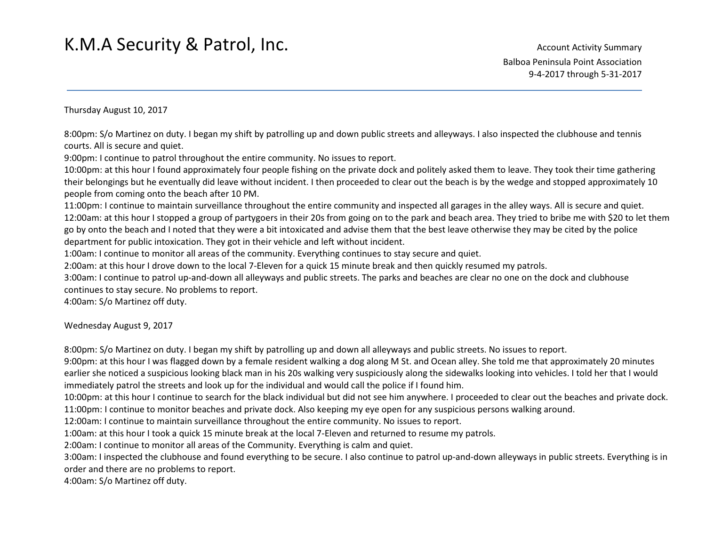Thursday August 10, 2017

8:00pm: S/o Martinez on duty. I began my shift by patrolling up and down public streets and alleyways. I also inspected the clubhouse and tennis courts. All is secure and quiet.

9:00pm: I continue to patrol throughout the entire community. No issues to report.

10:00pm: at this hour I found approximately four people fishing on the private dock and politely asked them to leave. They took their time gathering their belongings but he eventually did leave without incident. I then proceeded to clear out the beach is by the wedge and stopped approximately 10 people from coming onto the beach after 10 PM.

11:00pm: I continue to maintain surveillance throughout the entire community and inspected all garages in the alley ways. All is secure and quiet. 12:00am: at this hour I stopped a group of partygoers in their 20s from going on to the park and beach area. They tried to bribe me with \$20 to let them go by onto the beach and I noted that they were a bit intoxicated and advise them that the best leave otherwise they may be cited by the police department for public intoxication. They got in their vehicle and left without incident.

1:00am: I continue to monitor all areas of the community. Everything continues to stay secure and quiet.

2:00am: at this hour I drove down to the local 7-Eleven for a quick 15 minute break and then quickly resumed my patrols.

3:00am: I continue to patrol up-and-down all alleyways and public streets. The parks and beaches are clear no one on the dock and clubhouse continues to stay secure. No problems to report.

4:00am: S/o Martinez off duty.

Wednesday August 9, 2017

8:00pm: S/o Martinez on duty. I began my shift by patrolling up and down all alleyways and public streets. No issues to report.

9:00pm: at this hour I was flagged down by a female resident walking a dog along M St. and Ocean alley. She told me that approximately 20 minutes earlier she noticed a suspicious looking black man in his 20s walking very suspiciously along the sidewalks looking into vehicles. I told her that I would immediately patrol the streets and look up for the individual and would call the police if I found him.

10:00pm: at this hour I continue to search for the black individual but did not see him anywhere. I proceeded to clear out the beaches and private dock. 11:00pm: I continue to monitor beaches and private dock. Also keeping my eye open for any suspicious persons walking around.

12:00am: I continue to maintain surveillance throughout the entire community. No issues to report.

1:00am: at this hour I took a quick 15 minute break at the local 7-Eleven and returned to resume my patrols.

2:00am: I continue to monitor all areas of the Community. Everything is calm and quiet.

3:00am: I inspected the clubhouse and found everything to be secure. I also continue to patrol up-and-down alleyways in public streets. Everything is in order and there are no problems to report.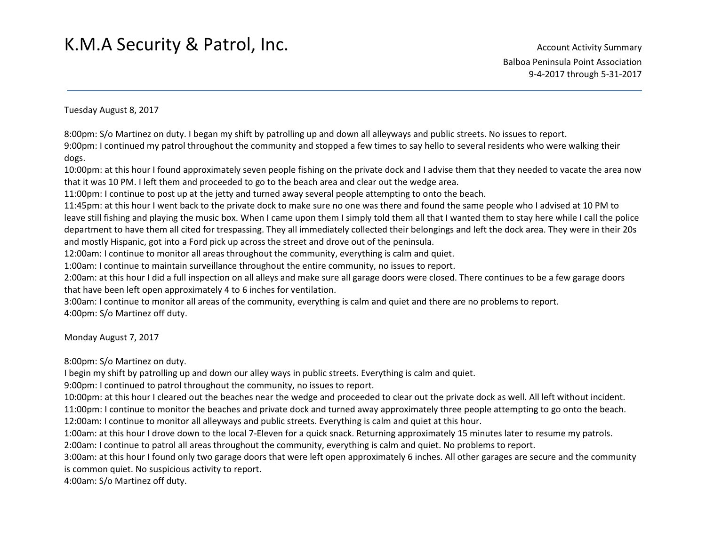Tuesday August 8, 2017

8:00pm: S/o Martinez on duty. I began my shift by patrolling up and down all alleyways and public streets. No issues to report. 9:00pm: I continued my patrol throughout the community and stopped a few times to say hello to several residents who were walking their dogs.

10:00pm: at this hour I found approximately seven people fishing on the private dock and I advise them that they needed to vacate the area now that it was 10 PM. I left them and proceeded to go to the beach area and clear out the wedge area.

11:00pm: I continue to post up at the jetty and turned away several people attempting to onto the beach.

 11:45pm: at this hour I went back to the private dock to make sure no one was there and found the same people who I advised at 10 PM to leave still fishing and playing the music box. When I came upon them I simply told them all that I wanted them to stay here while I call the police department to have them all cited for trespassing. They all immediately collected their belongings and left the dock area. They were in their 20s and mostly Hispanic, got into a Ford pick up across the street and drove out of the peninsula.

12:00am: I continue to monitor all areas throughout the community, everything is calm and quiet.

1:00am: I continue to maintain surveillance throughout the entire community, no issues to report.

2:00am: at this hour I did a full inspection on all alleys and make sure all garage doors were closed. There continues to be a few garage doors that have been left open approximately 4 to 6 inches for ventilation.

3:00am: I continue to monitor all areas of the community, everything is calm and quiet and there are no problems to report. 4:00pm: S/o Martinez off duty.

Monday August 7, 2017

8:00pm: S/o Martinez on duty.

I begin my shift by patrolling up and down our alley ways in public streets. Everything is calm and quiet.

9:00pm: I continued to patrol throughout the community, no issues to report.

10:00pm: at this hour I cleared out the beaches near the wedge and proceeded to clear out the private dock as well. All left without incident.

11:00pm: I continue to monitor the beaches and private dock and turned away approximately three people attempting to go onto the beach.

12:00am: I continue to monitor all alleyways and public streets. Everything is calm and quiet at this hour.

1:00am: at this hour I drove down to the local 7-Eleven for a quick snack. Returning approximately 15 minutes later to resume my patrols.

2:00am: I continue to patrol all areas throughout the community, everything is calm and quiet. No problems to report.

3:00am: at this hour I found only two garage doors that were left open approximately 6 inches. All other garages are secure and the community is common quiet. No suspicious activity to report.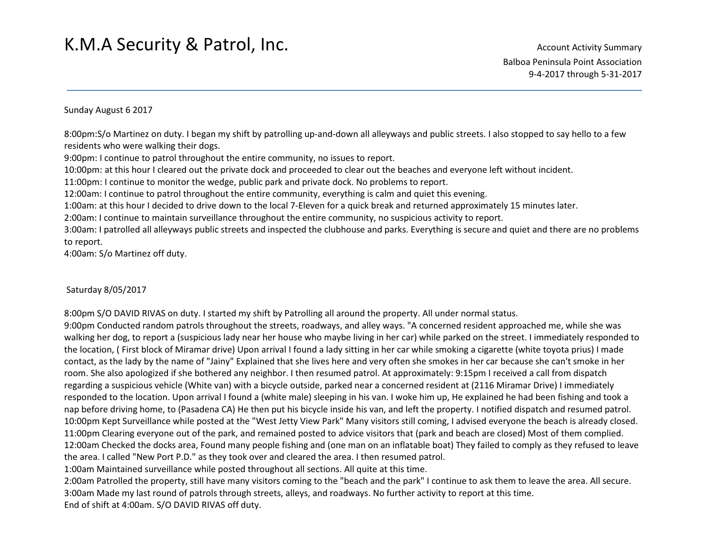#### Sunday August 6 2017

8:00pm:S/o Martinez on duty. I began my shift by patrolling up-and-down all alleyways and public streets. I also stopped to say hello to a few residents who were walking their dogs.

9:00pm: I continue to patrol throughout the entire community, no issues to report.

10:00pm: at this hour I cleared out the private dock and proceeded to clear out the beaches and everyone left without incident.

11:00pm: I continue to monitor the wedge, public park and private dock. No problems to report.

12:00am: I continue to patrol throughout the entire community, everything is calm and quiet this evening.

1:00am: at this hour I decided to drive down to the local 7-Eleven for a quick break and returned approximately 15 minutes later.

2:00am: I continue to maintain surveillance throughout the entire community, no suspicious activity to report.

3:00am: I patrolled all alleyways public streets and inspected the clubhouse and parks. Everything is secure and quiet and there are no problems to report.

4:00am: S/o Martinez off duty.

#### Saturday 8/05/2017

8:00pm S/O DAVID RIVAS on duty. I started my shift by Patrolling all around the property. All under normal status.

9:00pm Conducted random patrols throughout the streets, roadways, and alley ways. "A concerned resident approached me, while she was walking her dog, to report a (suspicious lady near her house who maybe living in her car) while parked on the street. I immediately responded to the location, ( First block of Miramar drive) Upon arrival I found a lady sitting in her car while smoking a cigarette (white toyota prius) I made contact, as the lady by the name of "Jainy" Explained that she lives here and very often she smokes in her car because she can't smoke in her room. She also apologized if she bothered any neighbor. I then resumed patrol. At approximately: 9:15pm I received a call from dispatch regarding a suspicious vehicle (White van) with a bicycle outside, parked near a concerned resident at (2116 Miramar Drive) I immediately responded to the location. Upon arrival I found a (white male) sleeping in his van. I woke him up, He explained he had been fishing and took a nap before driving home, to (Pasadena CA) He then put his bicycle inside his van, and left the property. I notified dispatch and resumed patrol. 10:00pm Kept Surveillance while posted at the "West Jetty View Park" Many visitors still coming, I advised everyone the beach is already closed. 11:00pm Clearing everyone out of the park, and remained posted to advice visitors that (park and beach are closed) Most of them complied. 12:00am Checked the docks area, Found many people fishing and (one man on an inflatable boat) They failed to comply as they refused to leave the area. I called "New Port P.D." as they took over and cleared the area. I then resumed patrol.

1:00am Maintained surveillance while posted throughout all sections. All quite at this time.

2:00am Patrolled the property, still have many visitors coming to the "beach and the park" I continue to ask them to leave the area. All secure. 3:00am Made my last round of patrols through streets, alleys, and roadways. No further activity to report at this time. End of shift at 4:00am. S/O DAVID RIVAS off duty.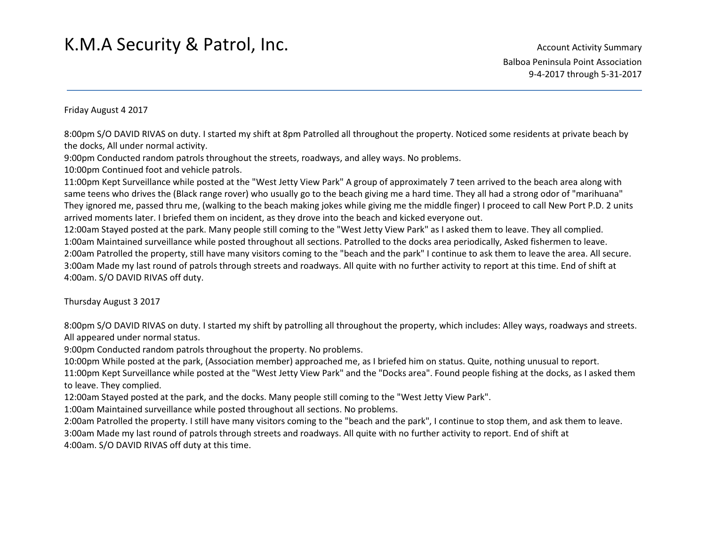Friday August 4 2017

8:00pm S/O DAVID RIVAS on duty. I started my shift at 8pm Patrolled all throughout the property. Noticed some residents at private beach by the docks, All under normal activity.

9:00pm Conducted random patrols throughout the streets, roadways, and alley ways. No problems.

10:00pm Continued foot and vehicle patrols.

11:00pm Kept Surveillance while posted at the "West Jetty View Park" A group of approximately 7 teen arrived to the beach area along with same teens who drives the (Black range rover) who usually go to the beach giving me a hard time. They all had a strong odor of "marihuana" They ignored me, passed thru me, (walking to the beach making jokes while giving me the middle finger) I proceed to call New Port P.D. 2 units arrived moments later. I briefed them on incident, as they drove into the beach and kicked everyone out.

12:00am Stayed posted at the park. Many people still coming to the "West Jetty View Park" as I asked them to leave. They all complied. 1:00am Maintained surveillance while posted throughout all sections. Patrolled to the docks area periodically, Asked fishermen to leave. 2:00am Patrolled the property, still have many visitors coming to the "beach and the park" I continue to ask them to leave the area. All secure. 3:00am Made my last round of patrols through streets and roadways. All quite with no further activity to report at this time. End of shift at 4:00am. S/O DAVID RIVAS off duty.

Thursday August 3 2017

8:00pm S/O DAVID RIVAS on duty. I started my shift by patrolling all throughout the property, which includes: Alley ways, roadways and streets. All appeared under normal status.

9:00pm Conducted random patrols throughout the property. No problems.

10:00pm While posted at the park, (Association member) approached me, as I briefed him on status. Quite, nothing unusual to report.

11:00pm Kept Surveillance while posted at the "West Jetty View Park" and the "Docks area". Found people fishing at the docks, as I asked them to leave. They complied.

12:00am Stayed posted at the park, and the docks. Many people still coming to the "West Jetty View Park".

1:00am Maintained surveillance while posted throughout all sections. No problems.

2:00am Patrolled the property. I still have many visitors coming to the "beach and the park", I continue to stop them, and ask them to leave.

3:00am Made my last round of patrols through streets and roadways. All quite with no further activity to report. End of shift at 4:00am. S/O DAVID RIVAS off duty at this time.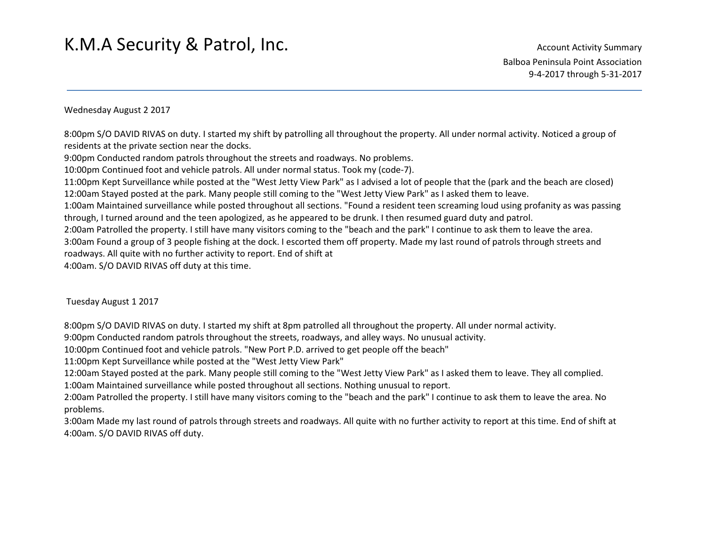#### Wednesday August 2 2017

8:00pm S/O DAVID RIVAS on duty. I started my shift by patrolling all throughout the property. All under normal activity. Noticed a group of residents at the private section near the docks.

9:00pm Conducted random patrols throughout the streets and roadways. No problems.

10:00pm Continued foot and vehicle patrols. All under normal status. Took my (code-7).

11:00pm Kept Surveillance while posted at the "West Jetty View Park" as I advised a lot of people that the (park and the beach are closed) 12:00am Stayed posted at the park. Many people still coming to the "West Jetty View Park" as I asked them to leave.

1:00am Maintained surveillance while posted throughout all sections. "Found a resident teen screaming loud using profanity as was passing through, I turned around and the teen apologized, as he appeared to be drunk. I then resumed guard duty and patrol.

2:00am Patrolled the property. I still have many visitors coming to the "beach and the park" I continue to ask them to leave the area.

3:00am Found a group of 3 people fishing at the dock. I escorted them off property. Made my last round of patrols through streets and roadways. All quite with no further activity to report. End of shift at

4:00am. S/O DAVID RIVAS off duty at this time.

#### Tuesday August 1 2017

8:00pm S/O DAVID RIVAS on duty. I started my shift at 8pm patrolled all throughout the property. All under normal activity.

9:00pm Conducted random patrols throughout the streets, roadways, and alley ways. No unusual activity.

10:00pm Continued foot and vehicle patrols. "New Port P.D. arrived to get people off the beach"

11:00pm Kept Surveillance while posted at the "West Jetty View Park"

12:00am Stayed posted at the park. Many people still coming to the "West Jetty View Park" as I asked them to leave. They all complied. 1:00am Maintained surveillance while posted throughout all sections. Nothing unusual to report.

2:00am Patrolled the property. I still have many visitors coming to the "beach and the park" I continue to ask them to leave the area. No problems.

3:00am Made my last round of patrols through streets and roadways. All quite with no further activity to report at this time. End of shift at 4:00am. S/O DAVID RIVAS off duty.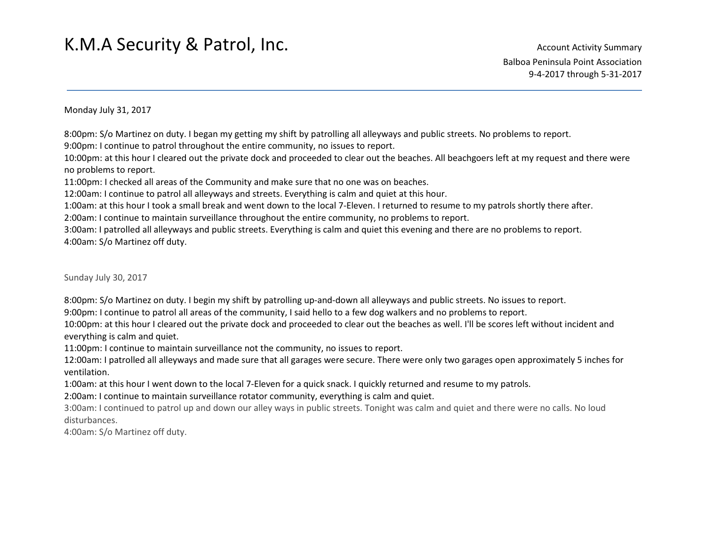Monday July 31, 2017

8:00pm: S/o Martinez on duty. I began my getting my shift by patrolling all alleyways and public streets. No problems to report.

9:00pm: I continue to patrol throughout the entire community, no issues to report.

10:00pm: at this hour I cleared out the private dock and proceeded to clear out the beaches. All beachgoers left at my request and there were no problems to report.

11:00pm: I checked all areas of the Community and make sure that no one was on beaches.

12:00am: I continue to patrol all alleyways and streets. Everything is calm and quiet at this hour.

1:00am: at this hour I took a small break and went down to the local 7-Eleven. I returned to resume to my patrols shortly there after.

2:00am: I continue to maintain surveillance throughout the entire community, no problems to report.

3:00am: I patrolled all alleyways and public streets. Everything is calm and quiet this evening and there are no problems to report. 4:00am: S/o Martinez off duty.

Sunday July 30, 2017

8:00pm: S/o Martinez on duty. I begin my shift by patrolling up-and-down all alleyways and public streets. No issues to report.

9:00pm: I continue to patrol all areas of the community, I said hello to a few dog walkers and no problems to report.

10:00pm: at this hour I cleared out the private dock and proceeded to clear out the beaches as well. I'll be scores left without incident and everything is calm and quiet.

11:00pm: I continue to maintain surveillance not the community, no issues to report.

12:00am: I patrolled all alleyways and made sure that all garages were secure. There were only two garages open approximately 5 inches for ventilation.

1:00am: at this hour I went down to the local 7-Eleven for a quick snack. I quickly returned and resume to my patrols.

2:00am: I continue to maintain surveillance rotator community, everything is calm and quiet.

3:00am: I continued to patrol up and down our alley ways in public streets. Tonight was calm and quiet and there were no calls. No loud disturbances.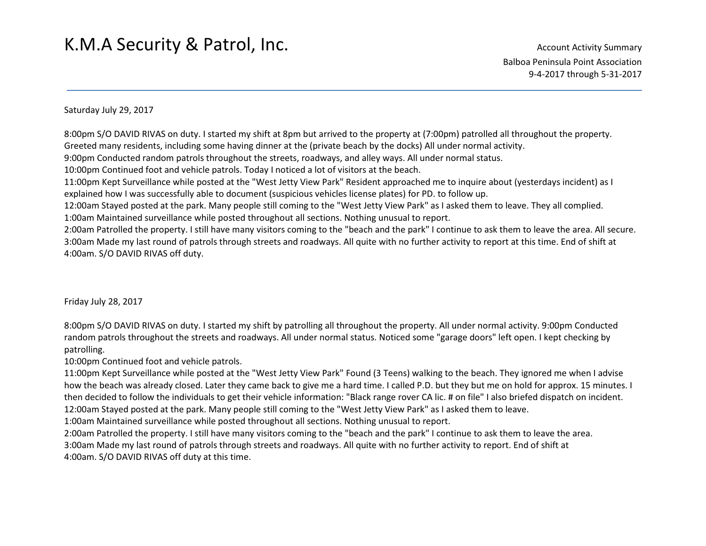#### Saturday July 29, 2017

8:00pm S/O DAVID RIVAS on duty. I started my shift at 8pm but arrived to the property at (7:00pm) patrolled all throughout the property. Greeted many residents, including some having dinner at the (private beach by the docks) All under normal activity. 9:00pm Conducted random patrols throughout the streets, roadways, and alley ways. All under normal status. 10:00pm Continued foot and vehicle patrols. Today I noticed a lot of visitors at the beach. 11:00pm Kept Surveillance while posted at the "West Jetty View Park" Resident approached me to inquire about (yesterdays incident) as I explained how I was successfully able to document (suspicious vehicles license plates) for PD. to follow up. 12:00am Stayed posted at the park. Many people still coming to the "West Jetty View Park" as I asked them to leave. They all complied. 1:00am Maintained surveillance while posted throughout all sections. Nothing unusual to report. 2:00am Patrolled the property. I still have many visitors coming to the "beach and the park" I continue to ask them to leave the area. All secure. 3:00am Made my last round of patrols through streets and roadways. All quite with no further activity to report at this time. End of shift at 4:00am. S/O DAVID RIVAS off duty.

Friday July 28, 2017

8:00pm S/O DAVID RIVAS on duty. I started my shift by patrolling all throughout the property. All under normal activity. 9:00pm Conducted random patrols throughout the streets and roadways. All under normal status. Noticed some "garage doors" left open. I kept checking by patrolling.

10:00pm Continued foot and vehicle patrols.

11:00pm Kept Surveillance while posted at the "West Jetty View Park" Found (3 Teens) walking to the beach. They ignored me when I advise how the beach was already closed. Later they came back to give me a hard time. I called P.D. but they but me on hold for approx. 15 minutes. I then decided to follow the individuals to get their vehicle information: "Black range rover CA lic. # on file" I also briefed dispatch on incident. 12:00am Stayed posted at the park. Many people still coming to the "West Jetty View Park" as I asked them to leave.

1:00am Maintained surveillance while posted throughout all sections. Nothing unusual to report.

2:00am Patrolled the property. I still have many visitors coming to the "beach and the park" I continue to ask them to leave the area.

3:00am Made my last round of patrols through streets and roadways. All quite with no further activity to report. End of shift at 4:00am. S/O DAVID RIVAS off duty at this time.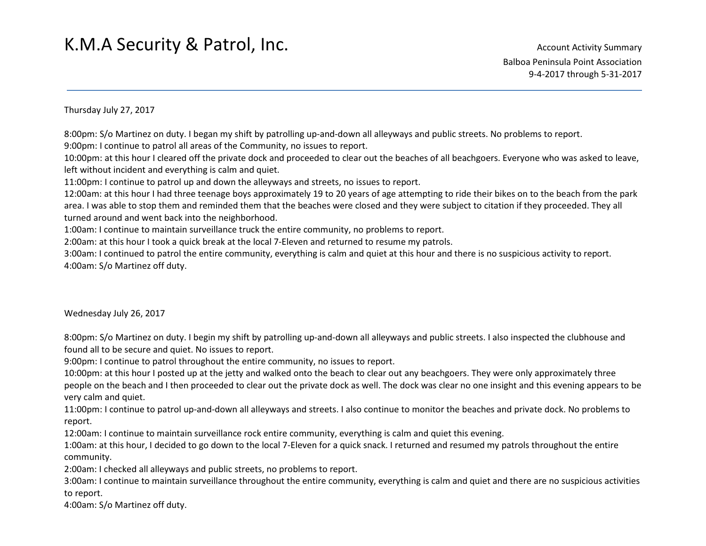#### Thursday July 27, 2017

8:00pm: S/o Martinez on duty. I began my shift by patrolling up-and-down all alleyways and public streets. No problems to report.

9:00pm: I continue to patrol all areas of the Community, no issues to report.

10:00pm: at this hour I cleared off the private dock and proceeded to clear out the beaches of all beachgoers. Everyone who was asked to leave, left without incident and everything is calm and quiet.

11:00pm: I continue to patrol up and down the alleyways and streets, no issues to report.

12:00am: at this hour I had three teenage boys approximately 19 to 20 years of age attempting to ride their bikes on to the beach from the park area. I was able to stop them and reminded them that the beaches were closed and they were subject to citation if they proceeded. They all turned around and went back into the neighborhood.

1:00am: I continue to maintain surveillance truck the entire community, no problems to report.

2:00am: at this hour I took a quick break at the local 7-Eleven and returned to resume my patrols.

3:00am: I continued to patrol the entire community, everything is calm and quiet at this hour and there is no suspicious activity to report. 4:00am: S/o Martinez off duty.

#### Wednesday July 26, 2017

8:00pm: S/o Martinez on duty. I begin my shift by patrolling up-and-down all alleyways and public streets. I also inspected the clubhouse and found all to be secure and quiet. No issues to report.

9:00pm: I continue to patrol throughout the entire community, no issues to report.

10:00pm: at this hour I posted up at the jetty and walked onto the beach to clear out any beachgoers. They were only approximately three people on the beach and I then proceeded to clear out the private dock as well. The dock was clear no one insight and this evening appears to be very calm and quiet.

11:00pm: I continue to patrol up-and-down all alleyways and streets. I also continue to monitor the beaches and private dock. No problems to report.

12:00am: I continue to maintain surveillance rock entire community, everything is calm and quiet this evening.

1:00am: at this hour, I decided to go down to the local 7-Eleven for a quick snack. I returned and resumed my patrols throughout the entire community.

2:00am: I checked all alleyways and public streets, no problems to report.

3:00am: I continue to maintain surveillance throughout the entire community, everything is calm and quiet and there are no suspicious activities to report.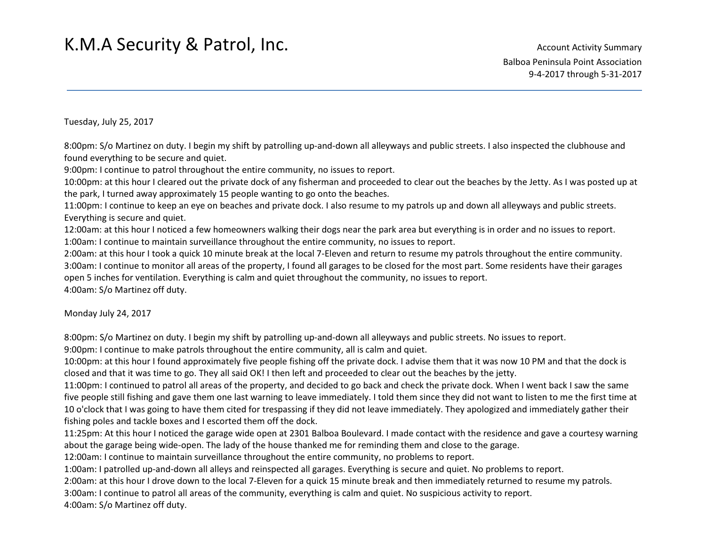Tuesday, July 25, 2017

8:00pm: S/o Martinez on duty. I begin my shift by patrolling up-and-down all alleyways and public streets. I also inspected the clubhouse and found everything to be secure and quiet.

9:00pm: I continue to patrol throughout the entire community, no issues to report.

10:00pm: at this hour I cleared out the private dock of any fisherman and proceeded to clear out the beaches by the Jetty. As I was posted up at the park, I turned away approximately 15 people wanting to go onto the beaches.

 11:00pm: I continue to keep an eye on beaches and private dock. I also resume to my patrols up and down all alleyways and public streets. Everything is secure and quiet.

12:00am: at this hour I noticed a few homeowners walking their dogs near the park area but everything is in order and no issues to report. 1:00am: I continue to maintain surveillance throughout the entire community, no issues to report.

2:00am: at this hour I took a quick 10 minute break at the local 7-Eleven and return to resume my patrols throughout the entire community. 3:00am: I continue to monitor all areas of the property, I found all garages to be closed for the most part. Some residents have their garages open 5 inches for ventilation. Everything is calm and quiet throughout the community, no issues to report. 4:00am: S/o Martinez off duty.

Monday July 24, 2017

8:00pm: S/o Martinez on duty. I begin my shift by patrolling up-and-down all alleyways and public streets. No issues to report.

9:00pm: I continue to make patrols throughout the entire community, all is calm and quiet.

10:00pm: at this hour I found approximately five people fishing off the private dock. I advise them that it was now 10 PM and that the dock is closed and that it was time to go. They all said OK! I then left and proceeded to clear out the beaches by the jetty.

11:00pm: I continued to patrol all areas of the property, and decided to go back and check the private dock. When I went back I saw the same five people still fishing and gave them one last warning to leave immediately. I told them since they did not want to listen to me the first time at 10 o'clock that I was going to have them cited for trespassing if they did not leave immediately. They apologized and immediately gather their fishing poles and tackle boxes and I escorted them off the dock.

11:25pm: At this hour I noticed the garage wide open at 2301 Balboa Boulevard. I made contact with the residence and gave a courtesy warning about the garage being wide-open. The lady of the house thanked me for reminding them and close to the garage.

12:00am: I continue to maintain surveillance throughout the entire community, no problems to report.

1:00am: I patrolled up-and-down all alleys and reinspected all garages. Everything is secure and quiet. No problems to report.

2:00am: at this hour I drove down to the local 7-Eleven for a quick 15 minute break and then immediately returned to resume my patrols.

3:00am: I continue to patrol all areas of the community, everything is calm and quiet. No suspicious activity to report.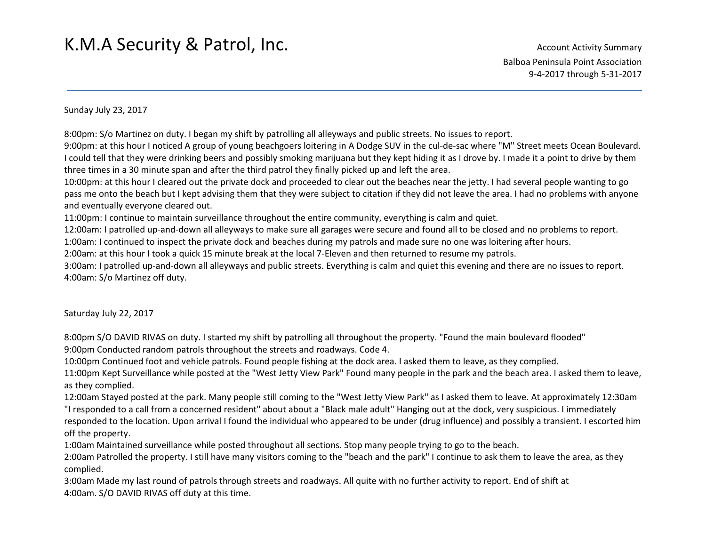Sunday July 23, 2017

8:00pm: S/o Martinez on duty. I began my shift by patrolling all alleyways and public streets. No issues to report.

9:00pm: at this hour I noticed A group of young beachgoers loitering in A Dodge SUV in the cul-de-sac where "M" Street meets Ocean Boulevard. I could tell that they were drinking beers and possibly smoking marijuana but they kept hiding it as I drove by. I made it a point to drive by them three times in a 30 minute span and after the third patrol they finally picked up and left the area.

10:00pm: at this hour I cleared out the private dock and proceeded to clear out the beaches near the jetty. I had several people wanting to go pass me onto the beach but I kept advising them that they were subject to citation if they did not leave the area. I had no problems with anyone and eventually everyone cleared out.

11:00pm: I continue to maintain surveillance throughout the entire community, everything is calm and quiet.

12:00am: I patrolled up-and-down all alleyways to make sure all garages were secure and found all to be closed and no problems to report.

1:00am: I continued to inspect the private dock and beaches during my patrols and made sure no one was loitering after hours.

2:00am: at this hour I took a quick 15 minute break at the local 7-Eleven and then returned to resume my patrols.

3:00am: I patrolled up-and-down all alleyways and public streets. Everything is calm and quiet this evening and there are no issues to report. 4:00am: S/o Martinez off duty.

#### Saturday July 22, 2017

8:00pm S/O DAVID RIVAS on duty. I started my shift by patrolling all throughout the property. "Found the main boulevard flooded" 9:00pm Conducted random patrols throughout the streets and roadways. Code 4.

10:00pm Continued foot and vehicle patrols. Found people fishing at the dock area. I asked them to leave, as they complied.

11:00pm Kept Surveillance while posted at the "West Jetty View Park" Found many people in the park and the beach area. I asked them to leave, as they complied.

12:00am Stayed posted at the park. Many people still coming to the "West Jetty View Park" as I asked them to leave. At approximately 12:30am "I responded to a call from a concerned resident" about about a "Black male adult" Hanging out at the dock, very suspicious. I immediately responded to the location. Upon arrival I found the individual who appeared to be under (drug influence) and possibly a transient. I escorted him off the property.

1:00am Maintained surveillance while posted throughout all sections. Stop many people trying to go to the beach.

2:00am Patrolled the property. I still have many visitors coming to the "beach and the park" I continue to ask them to leave the area, as they complied.

3:00am Made my last round of patrols through streets and roadways. All quite with no further activity to report. End of shift at 4:00am. S/O DAVID RIVAS off duty at this time.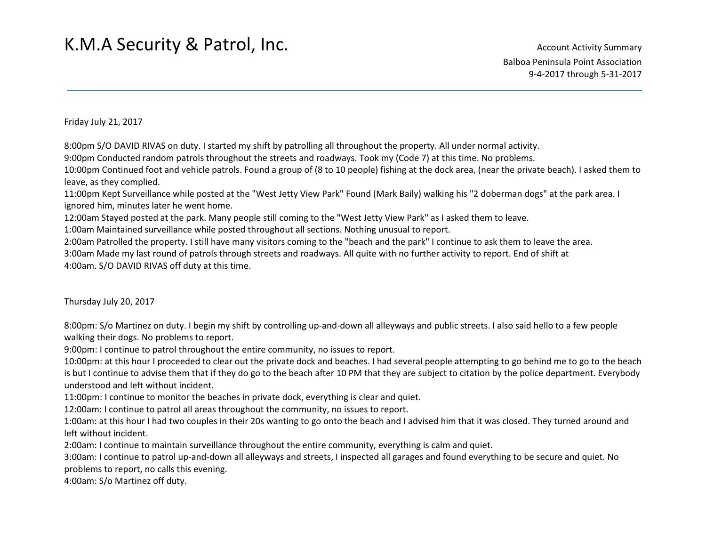Friday July 21, 2017

8:00pm S/O DAVID RIVAS on duty. I started my shift by patrolling all throughout the property. All under normal activity.

9:00pm Conducted random patrols throughout the streets and roadways. Took my (Code 7) at this time. No problems.

10:00pm Continued foot and vehicle patrols. Found a group of (8 to 10 people) fishing at the dock area, (near the private beach). I asked them to leave, as they complied.

11:00pm Kept Surveillance while posted at the "West Jetty View Park" Found (Mark Baily) walking his "2 doberman dogs" at the park area. I ignored him, minutes later he went home.

12:00am Stayed posted at the park. Many people still coming to the "West Jetty View Park" as I asked them to leave.

1:00am Maintained surveillance while posted throughout all sections. Nothing unusual to report.

2:00am Patrolled the property. I still have many visitors coming to the "beach and the park" I continue to ask them to leave the area.

3:00am Made my last round of patrols through streets and roadways. All quite with no further activity to report. End of shift at 4:00am. S/O DAVID RIVAS off duty at this time.

Thursday July 20, 2017

8:00pm: S/o Martinez on duty. I begin my shift by controlling up-and-down all alleyways and public streets. I also said hello to a few people walking their dogs. No problems to report.

9:00pm: I continue to patrol throughout the entire community, no issues to report.

10:00pm: at this hour I proceeded to clear out the private dock and beaches. I had several people attempting to go behind me to go to the beach is but I continue to advise them that if they do go to the beach after 10 PM that they are subject to citation by the police department. Everybody understood and left without incident.

11:00pm: I continue to monitor the beaches in private dock, everything is clear and quiet.

12:00am: I continue to patrol all areas throughout the community, no issues to report.

1:00am: at this hour I had two couples in their 20s wanting to go onto the beach and I advised him that it was closed. They turned around and left without incident.

2:00am: I continue to maintain surveillance throughout the entire community, everything is calm and quiet.

3:00am: I continue to patrol up-and-down all alleyways and streets, I inspected all garages and found everything to be secure and quiet. No problems to report, no calls this evening.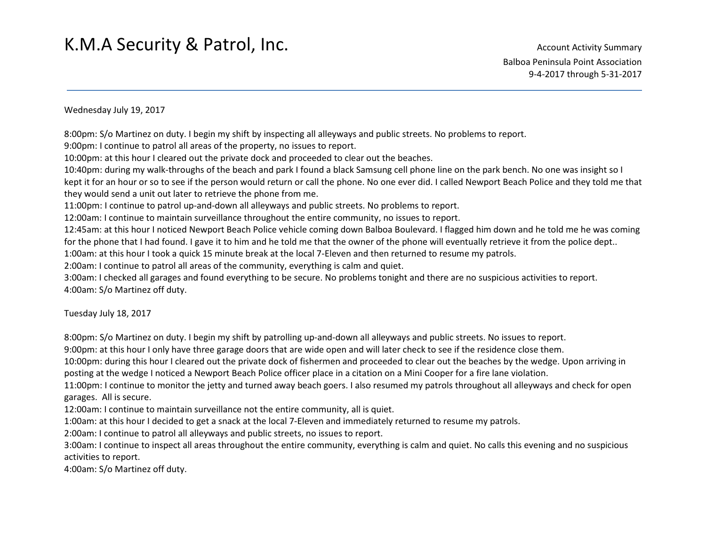#### Wednesday July 19, 2017

8:00pm: S/o Martinez on duty. I begin my shift by inspecting all alleyways and public streets. No problems to report.

9:00pm: I continue to patrol all areas of the property, no issues to report.

10:00pm: at this hour I cleared out the private dock and proceeded to clear out the beaches.

10:40pm: during my walk-throughs of the beach and park I found a black Samsung cell phone line on the park bench. No one was insight so I kept it for an hour or so to see if the person would return or call the phone. No one ever did. I called Newport Beach Police and they told me that they would send a unit out later to retrieve the phone from me.

11:00pm: I continue to patrol up-and-down all alleyways and public streets. No problems to report.

12:00am: I continue to maintain surveillance throughout the entire community, no issues to report.

12:45am: at this hour I noticed Newport Beach Police vehicle coming down Balboa Boulevard. I flagged him down and he told me he was coming for the phone that I had found. I gave it to him and he told me that the owner of the phone will eventually retrieve it from the police dept..

1:00am: at this hour I took a quick 15 minute break at the local 7-Eleven and then returned to resume my patrols.

2:00am: I continue to patrol all areas of the community, everything is calm and quiet.

3:00am: I checked all garages and found everything to be secure. No problems tonight and there are no suspicious activities to report. 4:00am: S/o Martinez off duty.

Tuesday July 18, 2017

8:00pm: S/o Martinez on duty. I begin my shift by patrolling up-and-down all alleyways and public streets. No issues to report.

9:00pm: at this hour I only have three garage doors that are wide open and will later check to see if the residence close them.

10:00pm: during this hour I cleared out the private dock of fishermen and proceeded to clear out the beaches by the wedge. Upon arriving in posting at the wedge I noticed a Newport Beach Police officer place in a citation on a Mini Cooper for a fire lane violation.

11:00pm: I continue to monitor the jetty and turned away beach goers. I also resumed my patrols throughout all alleyways and check for open garages. All is secure.

12:00am: I continue to maintain surveillance not the entire community, all is quiet.

1:00am: at this hour I decided to get a snack at the local 7-Eleven and immediately returned to resume my patrols.

2:00am: I continue to patrol all alleyways and public streets, no issues to report.

3:00am: I continue to inspect all areas throughout the entire community, everything is calm and quiet. No calls this evening and no suspicious activities to report.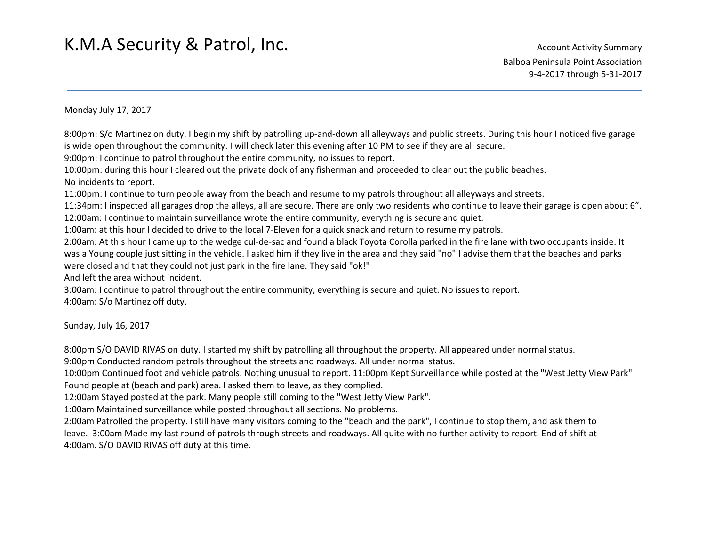Monday July 17, 2017

8:00pm: S/o Martinez on duty. I begin my shift by patrolling up-and-down all alleyways and public streets. During this hour I noticed five garage is wide open throughout the community. I will check later this evening after 10 PM to see if they are all secure.

9:00pm: I continue to patrol throughout the entire community, no issues to report.

10:00pm: during this hour I cleared out the private dock of any fisherman and proceeded to clear out the public beaches. No incidents to report.

11:00pm: I continue to turn people away from the beach and resume to my patrols throughout all alleyways and streets.

11:34pm: I inspected all garages drop the alleys, all are secure. There are only two residents who continue to leave their garage is open about 6". 12:00am: I continue to maintain surveillance wrote the entire community, everything is secure and quiet.

1:00am: at this hour I decided to drive to the local 7-Eleven for a quick snack and return to resume my patrols.

2:00am: At this hour I came up to the wedge cul-de-sac and found a black Toyota Corolla parked in the fire lane with two occupants inside. It was a Young couple just sitting in the vehicle. I asked him if they live in the area and they said "no" I advise them that the beaches and parks were closed and that they could not just park in the fire lane. They said "ok!"

And left the area without incident.

3:00am: I continue to patrol throughout the entire community, everything is secure and quiet. No issues to report. 4:00am: S/o Martinez off duty.

Sunday, July 16, 2017

8:00pm S/O DAVID RIVAS on duty. I started my shift by patrolling all throughout the property. All appeared under normal status.

9:00pm Conducted random patrols throughout the streets and roadways. All under normal status.

10:00pm Continued foot and vehicle patrols. Nothing unusual to report. 11:00pm Kept Surveillance while posted at the "West Jetty View Park" Found people at (beach and park) area. I asked them to leave, as they complied.

12:00am Stayed posted at the park. Many people still coming to the "West Jetty View Park".

1:00am Maintained surveillance while posted throughout all sections. No problems.

2:00am Patrolled the property. I still have many visitors coming to the "beach and the park", I continue to stop them, and ask them to leave. 3:00am Made my last round of patrols through streets and roadways. All quite with no further activity to report. End of shift at 4:00am. S/O DAVID RIVAS off duty at this time.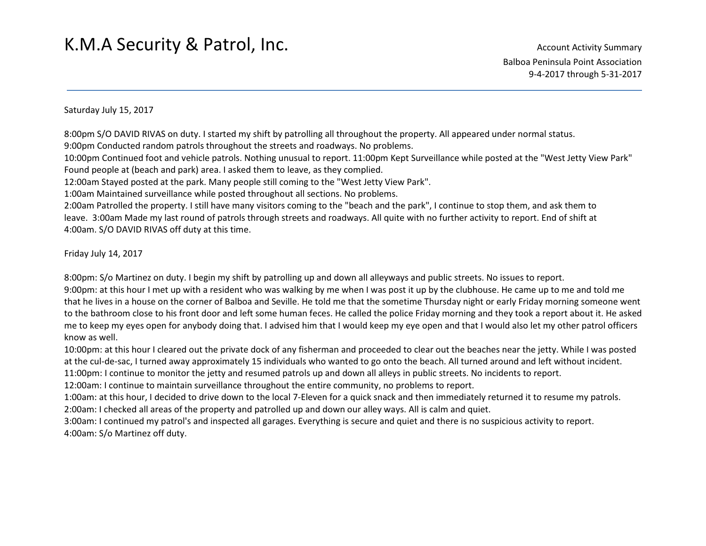#### Saturday July 15, 2017

8:00pm S/O DAVID RIVAS on duty. I started my shift by patrolling all throughout the property. All appeared under normal status. 9:00pm Conducted random patrols throughout the streets and roadways. No problems.

10:00pm Continued foot and vehicle patrols. Nothing unusual to report. 11:00pm Kept Surveillance while posted at the "West Jetty View Park" Found people at (beach and park) area. I asked them to leave, as they complied.

12:00am Stayed posted at the park. Many people still coming to the "West Jetty View Park".

1:00am Maintained surveillance while posted throughout all sections. No problems.

 2:00am Patrolled the property. I still have many visitors coming to the "beach and the park", I continue to stop them, and ask them to leave. 3:00am Made my last round of patrols through streets and roadways. All quite with no further activity to report. End of shift at 4:00am. S/O DAVID RIVAS off duty at this time.

Friday July 14, 2017

8:00pm: S/o Martinez on duty. I begin my shift by patrolling up and down all alleyways and public streets. No issues to report.

9:00pm: at this hour I met up with a resident who was walking by me when I was post it up by the clubhouse. He came up to me and told me that he lives in a house on the corner of Balboa and Seville. He told me that the sometime Thursday night or early Friday morning someone went to the bathroom close to his front door and left some human feces. He called the police Friday morning and they took a report about it. He asked me to keep my eyes open for anybody doing that. I advised him that I would keep my eye open and that I would also let my other patrol officers know as well.

10:00pm: at this hour I cleared out the private dock of any fisherman and proceeded to clear out the beaches near the jetty. While I was posted at the cul-de-sac, I turned away approximately 15 individuals who wanted to go onto the beach. All turned around and left without incident.

11:00pm: I continue to monitor the jetty and resumed patrols up and down all alleys in public streets. No incidents to report.

12:00am: I continue to maintain surveillance throughout the entire community, no problems to report.

1:00am: at this hour, I decided to drive down to the local 7-Eleven for a quick snack and then immediately returned it to resume my patrols. 2:00am: I checked all areas of the property and patrolled up and down our alley ways. All is calm and quiet.

3:00am: I continued my patrol's and inspected all garages. Everything is secure and quiet and there is no suspicious activity to report. 4:00am: S/o Martinez off duty.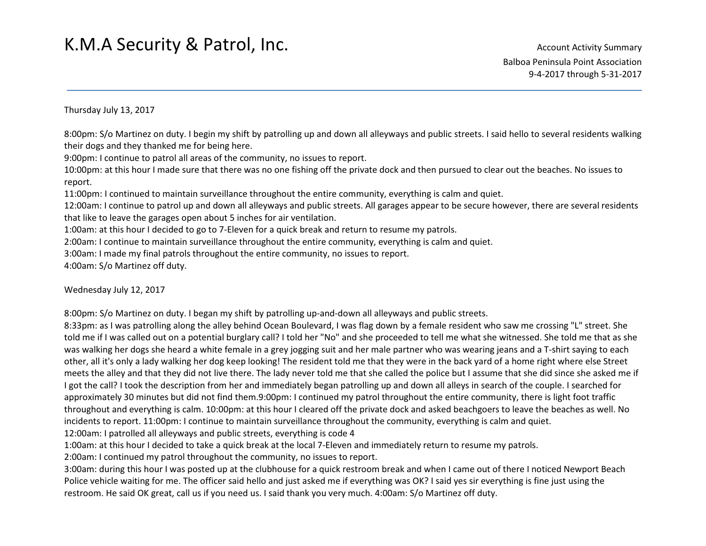#### Thursday July 13, 2017

8:00pm: S/o Martinez on duty. I begin my shift by patrolling up and down all alleyways and public streets. I said hello to several residents walking their dogs and they thanked me for being here.

9:00pm: I continue to patrol all areas of the community, no issues to report.

10:00pm: at this hour I made sure that there was no one fishing off the private dock and then pursued to clear out the beaches. No issues to report.

11:00pm: I continued to maintain surveillance throughout the entire community, everything is calm and quiet.

12:00am: I continue to patrol up and down all alleyways and public streets. All garages appear to be secure however, there are several residents that like to leave the garages open about 5 inches for air ventilation.

1:00am: at this hour I decided to go to 7-Eleven for a quick break and return to resume my patrols.

2:00am: I continue to maintain surveillance throughout the entire community, everything is calm and quiet.

3:00am: I made my final patrols throughout the entire community, no issues to report.

4:00am: S/o Martinez off duty.

Wednesday July 12, 2017

8:00pm: S/o Martinez on duty. I began my shift by patrolling up-and-down all alleyways and public streets.

8:33pm: as I was patrolling along the alley behind Ocean Boulevard, I was flag down by a female resident who saw me crossing "L" street. She told me if I was called out on a potential burglary call? I told her "No" and she proceeded to tell me what she witnessed. She told me that as she was walking her dogs she heard a white female in a grey jogging suit and her male partner who was wearing jeans and a T-shirt saying to each other, all it's only a lady walking her dog keep looking! The resident told me that they were in the back yard of a home right where else Street meets the alley and that they did not live there. The lady never told me that she called the police but I assume that she did since she asked me if I got the call? I took the description from her and immediately began patrolling up and down all alleys in search of the couple. I searched for approximately 30 minutes but did not find them.9:00pm: I continued my patrol throughout the entire community, there is light foot traffic throughout and everything is calm. 10:00pm: at this hour I cleared off the private dock and asked beachgoers to leave the beaches as well. No incidents to report. 11:00pm: I continue to maintain surveillance throughout the community, everything is calm and quiet.

12:00am: I patrolled all alleyways and public streets, everything is code 4

1:00am: at this hour I decided to take a quick break at the local 7-Eleven and immediately return to resume my patrols.

2:00am: I continued my patrol throughout the community, no issues to report.

 3:00am: during this hour I was posted up at the clubhouse for a quick restroom break and when I came out of there I noticed Newport Beach Police vehicle waiting for me. The officer said hello and just asked me if everything was OK? I said yes sir everything is fine just using the restroom. He said OK great, call us if you need us. I said thank you very much. 4:00am: S/o Martinez off duty.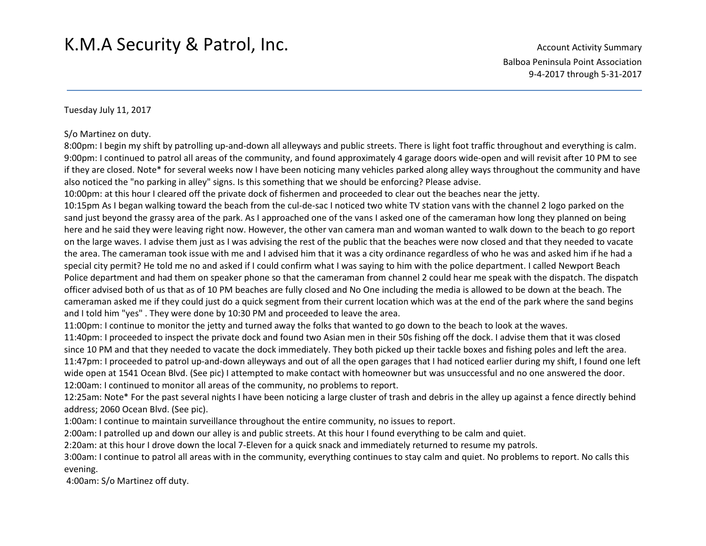Account Activity Summary Balboa Peninsula Point Association 9-4-2017 through 5-31-2017

Tuesday July 11, 2017

#### S/o Martinez on duty.

8:00pm: I begin my shift by patrolling up-and-down all alleyways and public streets. There is light foot traffic throughout and everything is calm. 9:00pm: I continued to patrol all areas of the community, and found approximately 4 garage doors wide-open and will revisit after 10 PM to see if they are closed. Note\* for several weeks now I have been noticing many vehicles parked along alley ways throughout the community and have also noticed the "no parking in alley" signs. Is this something that we should be enforcing? Please advise.

10:00pm: at this hour I cleared off the private dock of fishermen and proceeded to clear out the beaches near the jetty.

10:15pm As I began walking toward the beach from the cul-de-sac I noticed two white TV station vans with the channel 2 logo parked on the sand just beyond the grassy area of the park. As I approached one of the vans I asked one of the cameraman how long they planned on being here and he said they were leaving right now. However, the other van camera man and woman wanted to walk down to the beach to go report on the large waves. I advise them just as I was advising the rest of the public that the beaches were now closed and that they needed to vacate the area. The cameraman took issue with me and I advised him that it was a city ordinance regardless of who he was and asked him if he had a special city permit? He told me no and asked if I could confirm what I was saying to him with the police department. I called Newport Beach Police department and had them on speaker phone so that the cameraman from channel 2 could hear me speak with the dispatch. The dispatch officer advised both of us that as of 10 PM beaches are fully closed and No One including the media is allowed to be down at the beach. The cameraman asked me if they could just do a quick segment from their current location which was at the end of the park where the sand begins and I told him "yes" . They were done by 10:30 PM and proceeded to leave the area.

11:00pm: I continue to monitor the jetty and turned away the folks that wanted to go down to the beach to look at the waves.

11:40pm: I proceeded to inspect the private dock and found two Asian men in their 50s fishing off the dock. I advise them that it was closed since 10 PM and that they needed to vacate the dock immediately. They both picked up their tackle boxes and fishing poles and left the area. 11:47pm: I proceeded to patrol up-and-down alleyways and out of all the open garages that I had noticed earlier during my shift, I found one left wide open at 1541 Ocean Blvd. (See pic) I attempted to make contact with homeowner but was unsuccessful and no one answered the door. 12:00am: I continued to monitor all areas of the community, no problems to report.

12:25am: Note\* For the past several nights I have been noticing a large cluster of trash and debris in the alley up against a fence directly behind address; 2060 Ocean Blvd. (See pic).

1:00am: I continue to maintain surveillance throughout the entire community, no issues to report.

2:00am: I patrolled up and down our alley is and public streets. At this hour I found everything to be calm and quiet.

2:20am: at this hour I drove down the local 7-Eleven for a quick snack and immediately returned to resume my patrols.

3:00am: I continue to patrol all areas with in the community, everything continues to stay calm and quiet. No problems to report. No calls this evening.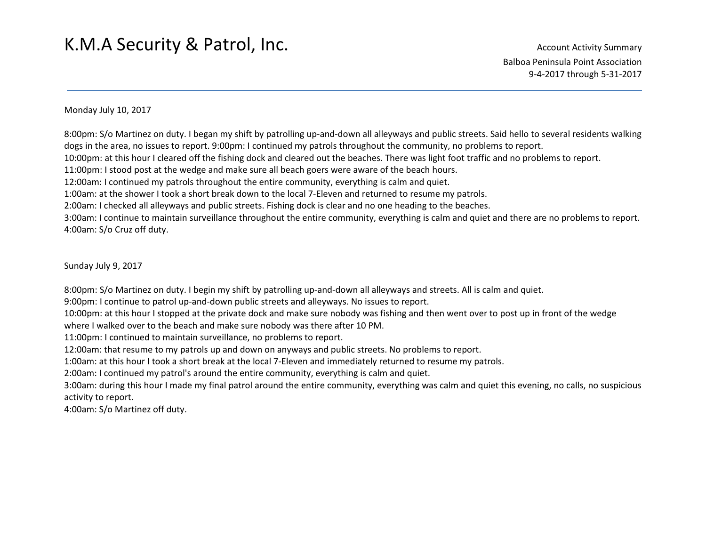#### Monday July 10, 2017

8:00pm: S/o Martinez on duty. I began my shift by patrolling up-and-down all alleyways and public streets. Said hello to several residents walking dogs in the area, no issues to report. 9:00pm: I continued my patrols throughout the community, no problems to report.

10:00pm: at this hour I cleared off the fishing dock and cleared out the beaches. There was light foot traffic and no problems to report.

11:00pm: I stood post at the wedge and make sure all beach goers were aware of the beach hours.

12:00am: I continued my patrols throughout the entire community, everything is calm and quiet.

1:00am: at the shower I took a short break down to the local 7-Eleven and returned to resume my patrols.

2:00am: I checked all alleyways and public streets. Fishing dock is clear and no one heading to the beaches.

3:00am: I continue to maintain surveillance throughout the entire community, everything is calm and quiet and there are no problems to report. 4:00am: S/o Cruz off duty.

#### Sunday July 9, 2017

8:00pm: S/o Martinez on duty. I begin my shift by patrolling up-and-down all alleyways and streets. All is calm and quiet.

9:00pm: I continue to patrol up-and-down public streets and alleyways. No issues to report.

10:00pm: at this hour I stopped at the private dock and make sure nobody was fishing and then went over to post up in front of the wedge where I walked over to the beach and make sure nobody was there after 10 PM.

11:00pm: I continued to maintain surveillance, no problems to report.

12:00am: that resume to my patrols up and down on anyways and public streets. No problems to report.

1:00am: at this hour I took a short break at the local 7-Eleven and immediately returned to resume my patrols.

2:00am: I continued my patrol's around the entire community, everything is calm and quiet.

3:00am: during this hour I made my final patrol around the entire community, everything was calm and quiet this evening, no calls, no suspicious activity to report.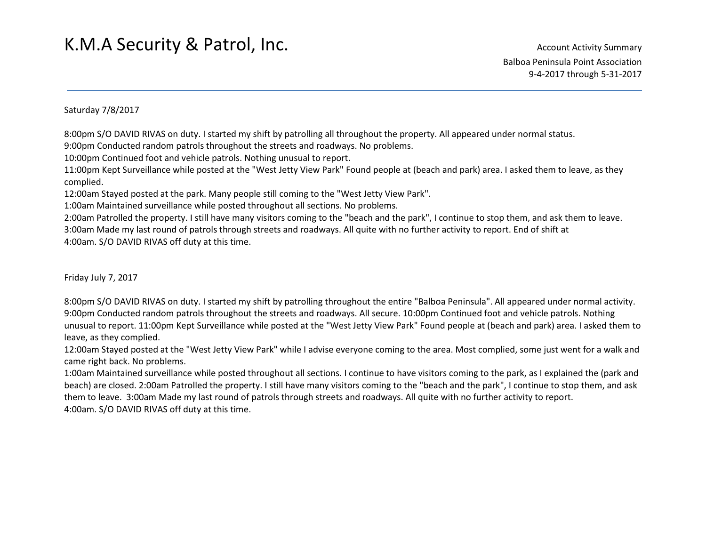Saturday 7/8/2017

8:00pm S/O DAVID RIVAS on duty. I started my shift by patrolling all throughout the property. All appeared under normal status.

9:00pm Conducted random patrols throughout the streets and roadways. No problems.

10:00pm Continued foot and vehicle patrols. Nothing unusual to report.

11:00pm Kept Surveillance while posted at the "West Jetty View Park" Found people at (beach and park) area. I asked them to leave, as they complied.

12:00am Stayed posted at the park. Many people still coming to the "West Jetty View Park".

1:00am Maintained surveillance while posted throughout all sections. No problems.

 2:00am Patrolled the property. I still have many visitors coming to the "beach and the park", I continue to stop them, and ask them to leave. 3:00am Made my last round of patrols through streets and roadways. All quite with no further activity to report. End of shift at 4:00am. S/O DAVID RIVAS off duty at this time.

Friday July 7, 2017

8:00pm S/O DAVID RIVAS on duty. I started my shift by patrolling throughout the entire "Balboa Peninsula". All appeared under normal activity. 9:00pm Conducted random patrols throughout the streets and roadways. All secure. 10:00pm Continued foot and vehicle patrols. Nothing unusual to report. 11:00pm Kept Surveillance while posted at the "West Jetty View Park" Found people at (beach and park) area. I asked them to leave, as they complied.

12:00am Stayed posted at the "West Jetty View Park" while I advise everyone coming to the area. Most complied, some just went for a walk and came right back. No problems.

1:00am Maintained surveillance while posted throughout all sections. I continue to have visitors coming to the park, as I explained the (park and beach) are closed. 2:00am Patrolled the property. I still have many visitors coming to the "beach and the park", I continue to stop them, and ask them to leave. 3:00am Made my last round of patrols through streets and roadways. All quite with no further activity to report. 4:00am. S/O DAVID RIVAS off duty at this time.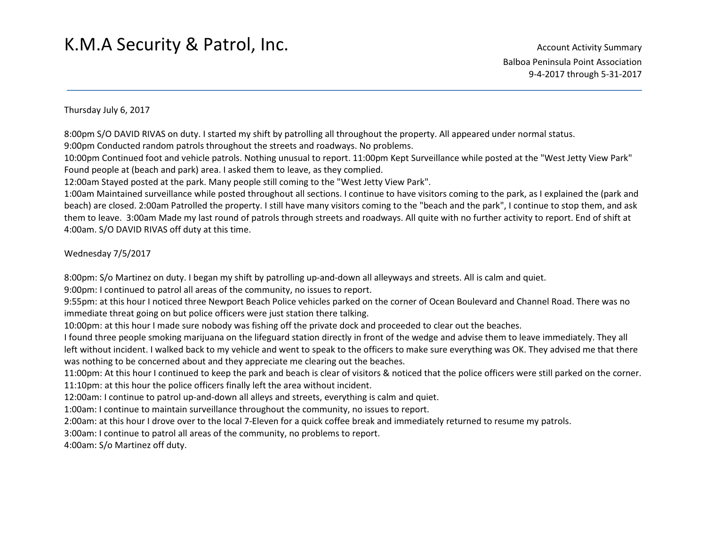#### Thursday July 6, 2017

8:00pm S/O DAVID RIVAS on duty. I started my shift by patrolling all throughout the property. All appeared under normal status.

9:00pm Conducted random patrols throughout the streets and roadways. No problems.

10:00pm Continued foot and vehicle patrols. Nothing unusual to report. 11:00pm Kept Surveillance while posted at the "West Jetty View Park" Found people at (beach and park) area. I asked them to leave, as they complied.

12:00am Stayed posted at the park. Many people still coming to the "West Jetty View Park".

1:00am Maintained surveillance while posted throughout all sections. I continue to have visitors coming to the park, as I explained the (park and beach) are closed. 2:00am Patrolled the property. I still have many visitors coming to the "beach and the park", I continue to stop them, and ask them to leave. 3:00am Made my last round of patrols through streets and roadways. All quite with no further activity to report. End of shift at 4:00am. S/O DAVID RIVAS off duty at this time.

#### Wednesday 7/5/2017

8:00pm: S/o Martinez on duty. I began my shift by patrolling up-and-down all alleyways and streets. All is calm and quiet.

9:00pm: I continued to patrol all areas of the community, no issues to report.

9:55pm: at this hour I noticed three Newport Beach Police vehicles parked on the corner of Ocean Boulevard and Channel Road. There was no immediate threat going on but police officers were just station there talking.

10:00pm: at this hour I made sure nobody was fishing off the private dock and proceeded to clear out the beaches.

I found three people smoking marijuana on the lifeguard station directly in front of the wedge and advise them to leave immediately. They all left without incident. I walked back to my vehicle and went to speak to the officers to make sure everything was OK. They advised me that there was nothing to be concerned about and they appreciate me clearing out the beaches.

11:00pm: At this hour I continued to keep the park and beach is clear of visitors & noticed that the police officers were still parked on the corner. 11:10pm: at this hour the police officers finally left the area without incident.

12:00am: I continue to patrol up-and-down all alleys and streets, everything is calm and quiet.

1:00am: I continue to maintain surveillance throughout the community, no issues to report.

2:00am: at this hour I drove over to the local 7-Eleven for a quick coffee break and immediately returned to resume my patrols.

3:00am: I continue to patrol all areas of the community, no problems to report.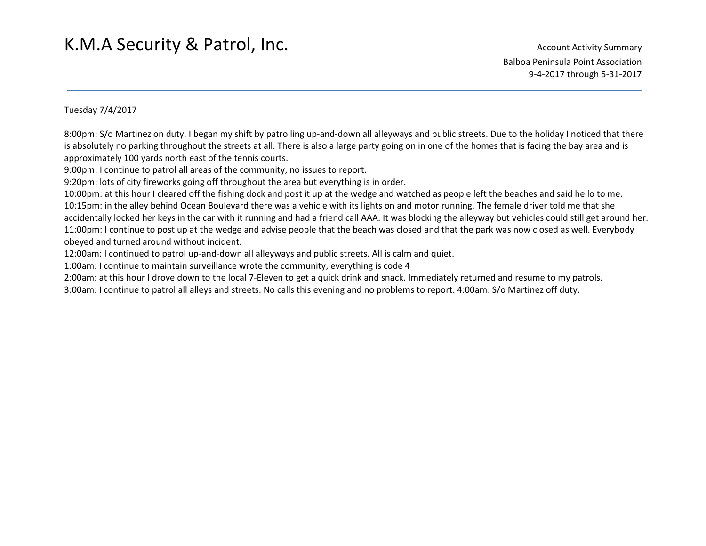Account Activity Summary Balboa Peninsula Point Association 9-4-2017 through 5-31-2017

#### Tuesday 7/4/2017

8:00pm: S/o Martinez on duty. I began my shift by patrolling up-and-down all alleyways and public streets. Due to the holiday I noticed that there is absolutely no parking throughout the streets at all. There is also a large party going on in one of the homes that is facing the bay area and is approximately 100 yards north east of the tennis courts.

9:00pm: I continue to patrol all areas of the community, no issues to report.

9:20pm: lots of city fireworks going off throughout the area but everything is in order.

10:00pm: at this hour I cleared off the fishing dock and post it up at the wedge and watched as people left the beaches and said hello to me. 10:15pm: in the alley behind Ocean Boulevard there was a vehicle with its lights on and motor running. The female driver told me that she accidentally locked her keys in the car with it running and had a friend call AAA. It was blocking the alleyway but vehicles could still get around her. 11:00pm: I continue to post up at the wedge and advise people that the beach was closed and that the park was now closed as well. Everybody obeyed and turned around without incident.

12:00am: I continued to patrol up-and-down all alleyways and public streets. All is calm and quiet.

1:00am: I continue to maintain surveillance wrote the community, everything is code 4

2:00am: at this hour I drove down to the local 7-Eleven to get a quick drink and snack. Immediately returned and resume to my patrols.

3:00am: I continue to patrol all alleys and streets. No calls this evening and no problems to report. 4:00am: S/o Martinez off duty.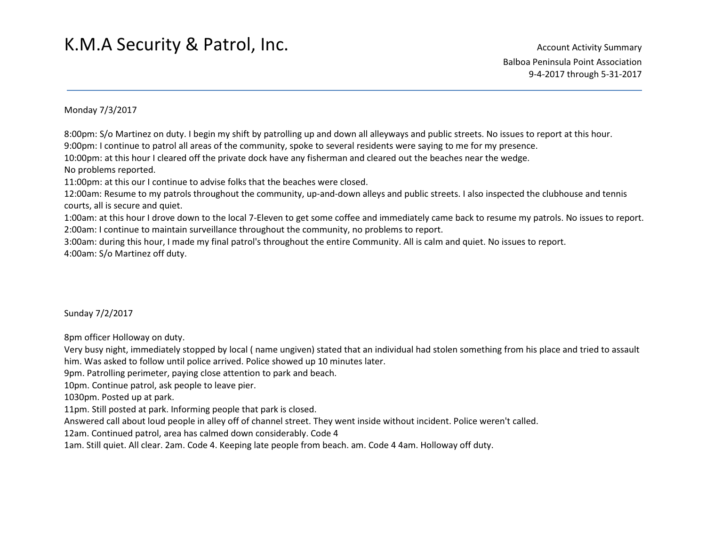Monday 7/3/2017

8:00pm: S/o Martinez on duty. I begin my shift by patrolling up and down all alleyways and public streets. No issues to report at this hour.

9:00pm: I continue to patrol all areas of the community, spoke to several residents were saying to me for my presence.

10:00pm: at this hour I cleared off the private dock have any fisherman and cleared out the beaches near the wedge.

No problems reported.

11:00pm: at this our I continue to advise folks that the beaches were closed.

12:00am: Resume to my patrols throughout the community, up-and-down alleys and public streets. I also inspected the clubhouse and tennis courts, all is secure and quiet.

 1:00am: at this hour I drove down to the local 7-Eleven to get some coffee and immediately came back to resume my patrols. No issues to report. 2:00am: I continue to maintain surveillance throughout the community, no problems to report.

3:00am: during this hour, I made my final patrol's throughout the entire Community. All is calm and quiet. No issues to report. 4:00am: S/o Martinez off duty.

#### Sunday 7/2/2017

8pm officer Holloway on duty.

Very busy night, immediately stopped by local ( name ungiven) stated that an individual had stolen something from his place and tried to assault him. Was asked to follow until police arrived. Police showed up 10 minutes later.

9pm. Patrolling perimeter, paying close attention to park and beach.

10pm. Continue patrol, ask people to leave pier.

1030pm. Posted up at park.

11pm. Still posted at park. Informing people that park is closed.

Answered call about loud people in alley off of channel street. They went inside without incident. Police weren't called.

12am. Continued patrol, area has calmed down considerably. Code 4

1am. Still quiet. All clear. 2am. Code 4. Keeping late people from beach. am. Code 4 4am. Holloway off duty.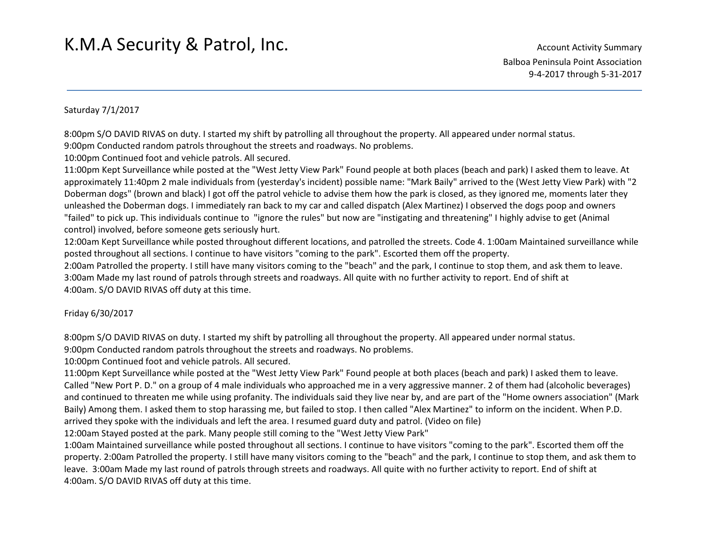#### Saturday 7/1/2017

8:00pm S/O DAVID RIVAS on duty. I started my shift by patrolling all throughout the property. All appeared under normal status. 9:00pm Conducted random patrols throughout the streets and roadways. No problems.

10:00pm Continued foot and vehicle patrols. All secured.

11:00pm Kept Surveillance while posted at the "West Jetty View Park" Found people at both places (beach and park) I asked them to leave. At approximately 11:40pm 2 male individuals from (yesterday's incident) possible name: "Mark Baily" arrived to the (West Jetty View Park) with "2 Doberman dogs" (brown and black) I got off the patrol vehicle to advise them how the park is closed, as they ignored me, moments later they unleashed the Doberman dogs. I immediately ran back to my car and called dispatch (Alex Martinez) I observed the dogs poop and owners "failed" to pick up. This individuals continue to "ignore the rules" but now are "instigating and threatening" I highly advise to get (Animal control) involved, before someone gets seriously hurt.

12:00am Kept Surveillance while posted throughout different locations, and patrolled the streets. Code 4. 1:00am Maintained surveillance while posted throughout all sections. I continue to have visitors "coming to the park". Escorted them off the property.

2:00am Patrolled the property. I still have many visitors coming to the "beach" and the park, I continue to stop them, and ask them to leave. 3:00am Made my last round of patrols through streets and roadways. All quite with no further activity to report. End of shift at 4:00am. S/O DAVID RIVAS off duty at this time.

#### Friday 6/30/2017

8:00pm S/O DAVID RIVAS on duty. I started my shift by patrolling all throughout the property. All appeared under normal status. 9:00pm Conducted random patrols throughout the streets and roadways. No problems.

10:00pm Continued foot and vehicle patrols. All secured.

11:00pm Kept Surveillance while posted at the "West Jetty View Park" Found people at both places (beach and park) I asked them to leave. Called "New Port P. D." on a group of 4 male individuals who approached me in a very aggressive manner. 2 of them had (alcoholic beverages) and continued to threaten me while using profanity. The individuals said they live near by, and are part of the "Home owners association" (Mark Baily) Among them. I asked them to stop harassing me, but failed to stop. I then called "Alex Martinez" to inform on the incident. When P.D. arrived they spoke with the individuals and left the area. I resumed guard duty and patrol. (Video on file)

12:00am Stayed posted at the park. Many people still coming to the "West Jetty View Park"

1:00am Maintained surveillance while posted throughout all sections. I continue to have visitors "coming to the park". Escorted them off the property. 2:00am Patrolled the property. I still have many visitors coming to the "beach" and the park, I continue to stop them, and ask them to leave. 3:00am Made my last round of patrols through streets and roadways. All quite with no further activity to report. End of shift at 4:00am. S/O DAVID RIVAS off duty at this time.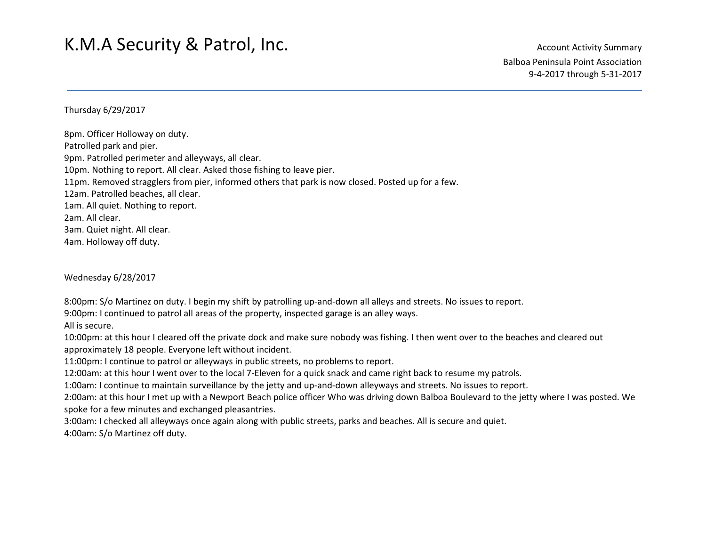Account Activity Summary Balboa Peninsula Point Association 9-4-2017 through 5-31-2017

#### Thursday 6/29/2017

8pm. Officer Holloway on duty. Patrolled park and pier. 9pm. Patrolled perimeter and alleyways, all clear. 10pm. Nothing to report. All clear. Asked those fishing to leave pier. 11pm. Removed stragglers from pier, informed others that park is now closed. Posted up for a few. 12am. Patrolled beaches, all clear. 1am. All quiet. Nothing to report. 2am. All clear. 3am. Quiet night. All clear. 4am. Holloway off duty.

Wednesday 6/28/2017

8:00pm: S/o Martinez on duty. I begin my shift by patrolling up-and-down all alleys and streets. No issues to report.

9:00pm: I continued to patrol all areas of the property, inspected garage is an alley ways.

All is secure.

10:00pm: at this hour I cleared off the private dock and make sure nobody was fishing. I then went over to the beaches and cleared out approximately 18 people. Everyone left without incident.

11:00pm: I continue to patrol or alleyways in public streets, no problems to report.

12:00am: at this hour I went over to the local 7-Eleven for a quick snack and came right back to resume my patrols.

1:00am: I continue to maintain surveillance by the jetty and up-and-down alleyways and streets. No issues to report.

2:00am: at this hour I met up with a Newport Beach police officer Who was driving down Balboa Boulevard to the jetty where I was posted. We spoke for a few minutes and exchanged pleasantries.

3:00am: I checked all alleyways once again along with public streets, parks and beaches. All is secure and quiet. 4:00am: S/o Martinez off duty.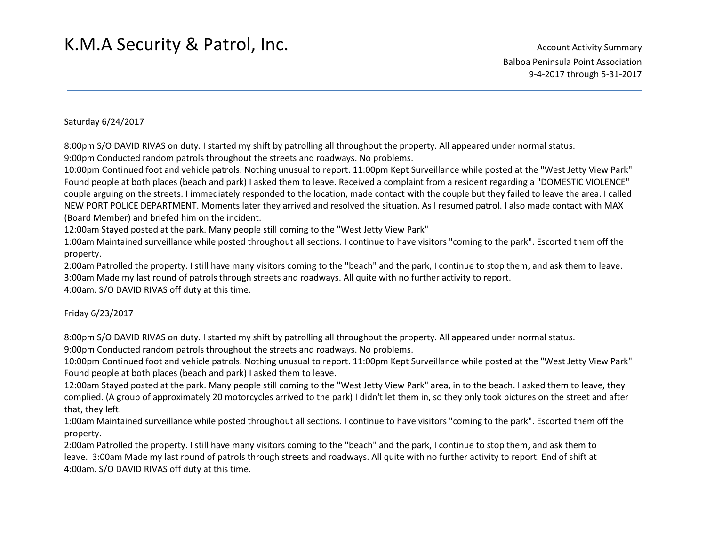#### Saturday 6/24/2017

8:00pm S/O DAVID RIVAS on duty. I started my shift by patrolling all throughout the property. All appeared under normal status. 9:00pm Conducted random patrols throughout the streets and roadways. No problems.

10:00pm Continued foot and vehicle patrols. Nothing unusual to report. 11:00pm Kept Surveillance while posted at the "West Jetty View Park" Found people at both places (beach and park) I asked them to leave. Received a complaint from a resident regarding a "DOMESTIC VIOLENCE" couple arguing on the streets. I immediately responded to the location, made contact with the couple but they failed to leave the area. I called NEW PORT POLICE DEPARTMENT. Moments later they arrived and resolved the situation. As I resumed patrol. I also made contact with MAX (Board Member) and briefed him on the incident.

12:00am Stayed posted at the park. Many people still coming to the "West Jetty View Park"

1:00am Maintained surveillance while posted throughout all sections. I continue to have visitors "coming to the park". Escorted them off the property.

2:00am Patrolled the property. I still have many visitors coming to the "beach" and the park, I continue to stop them, and ask them to leave. 3:00am Made my last round of patrols through streets and roadways. All quite with no further activity to report.

4:00am. S/O DAVID RIVAS off duty at this time.

#### Friday 6/23/2017

8:00pm S/O DAVID RIVAS on duty. I started my shift by patrolling all throughout the property. All appeared under normal status. 9:00pm Conducted random patrols throughout the streets and roadways. No problems.

10:00pm Continued foot and vehicle patrols. Nothing unusual to report. 11:00pm Kept Surveillance while posted at the "West Jetty View Park" Found people at both places (beach and park) I asked them to leave.

12:00am Stayed posted at the park. Many people still coming to the "West Jetty View Park" area, in to the beach. I asked them to leave, they complied. (A group of approximately 20 motorcycles arrived to the park) I didn't let them in, so they only took pictures on the street and after that, they left.

1:00am Maintained surveillance while posted throughout all sections. I continue to have visitors "coming to the park". Escorted them off the property.

2:00am Patrolled the property. I still have many visitors coming to the "beach" and the park, I continue to stop them, and ask them to leave. 3:00am Made my last round of patrols through streets and roadways. All quite with no further activity to report. End of shift at 4:00am. S/O DAVID RIVAS off duty at this time.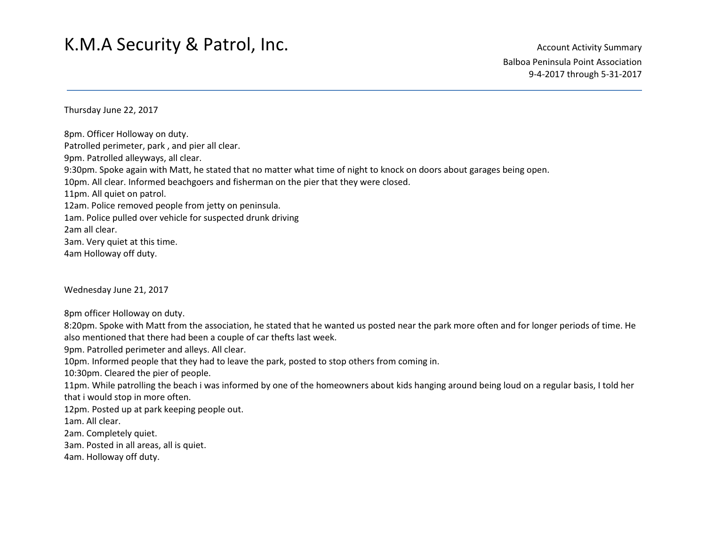Thursday June 22, 2017

8pm. Officer Holloway on duty. Patrolled perimeter, park , and pier all clear. 9pm. Patrolled alleyways, all clear. 9:30pm. Spoke again with Matt, he stated that no matter what time of night to knock on doors about garages being open. 10pm. All clear. Informed beachgoers and fisherman on the pier that they were closed. 11pm. All quiet on patrol. 12am. Police removed people from jetty on peninsula. 1am. Police pulled over vehicle for suspected drunk driving 2am all clear. 3am. Very quiet at this time. 4am Holloway off duty.

Wednesday June 21, 2017

8pm officer Holloway on duty.

8:20pm. Spoke with Matt from the association, he stated that he wanted us posted near the park more often and for longer periods of time. He also mentioned that there had been a couple of car thefts last week.

9pm. Patrolled perimeter and alleys. All clear.

10pm. Informed people that they had to leave the park, posted to stop others from coming in.

10:30pm. Cleared the pier of people.

11pm. While patrolling the beach i was informed by one of the homeowners about kids hanging around being loud on a regular basis, I told her that i would stop in more often.

12pm. Posted up at park keeping people out.

1am. All clear.

2am. Completely quiet.

3am. Posted in all areas, all is quiet.

4am. Holloway off duty.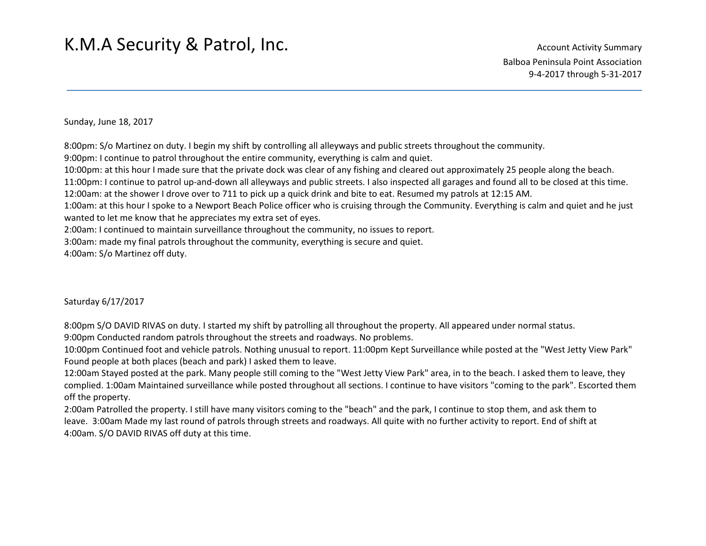Sunday, June 18, 2017

8:00pm: S/o Martinez on duty. I begin my shift by controlling all alleyways and public streets throughout the community.

9:00pm: I continue to patrol throughout the entire community, everything is calm and quiet.

10:00pm: at this hour I made sure that the private dock was clear of any fishing and cleared out approximately 25 people along the beach.

11:00pm: I continue to patrol up-and-down all alleyways and public streets. I also inspected all garages and found all to be closed at this time.

12:00am: at the shower I drove over to 711 to pick up a quick drink and bite to eat. Resumed my patrols at 12:15 AM.

1:00am: at this hour I spoke to a Newport Beach Police officer who is cruising through the Community. Everything is calm and quiet and he just wanted to let me know that he appreciates my extra set of eyes.

2:00am: I continued to maintain surveillance throughout the community, no issues to report.

3:00am: made my final patrols throughout the community, everything is secure and quiet.

4:00am: S/o Martinez off duty.

#### Saturday 6/17/2017

8:00pm S/O DAVID RIVAS on duty. I started my shift by patrolling all throughout the property. All appeared under normal status. 9:00pm Conducted random patrols throughout the streets and roadways. No problems.

10:00pm Continued foot and vehicle patrols. Nothing unusual to report. 11:00pm Kept Surveillance while posted at the "West Jetty View Park" Found people at both places (beach and park) I asked them to leave.

12:00am Stayed posted at the park. Many people still coming to the "West Jetty View Park" area, in to the beach. I asked them to leave, they complied. 1:00am Maintained surveillance while posted throughout all sections. I continue to have visitors "coming to the park". Escorted them off the property.

2:00am Patrolled the property. I still have many visitors coming to the "beach" and the park, I continue to stop them, and ask them to leave. 3:00am Made my last round of patrols through streets and roadways. All quite with no further activity to report. End of shift at 4:00am. S/O DAVID RIVAS off duty at this time.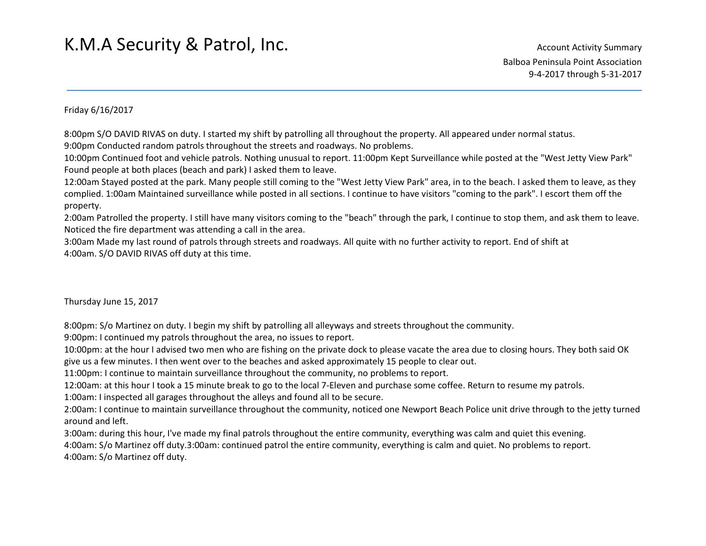#### Friday 6/16/2017

8:00pm S/O DAVID RIVAS on duty. I started my shift by patrolling all throughout the property. All appeared under normal status. 9:00pm Conducted random patrols throughout the streets and roadways. No problems.

10:00pm Continued foot and vehicle patrols. Nothing unusual to report. 11:00pm Kept Surveillance while posted at the "West Jetty View Park" Found people at both places (beach and park) I asked them to leave.

12:00am Stayed posted at the park. Many people still coming to the "West Jetty View Park" area, in to the beach. I asked them to leave, as they complied. 1:00am Maintained surveillance while posted in all sections. I continue to have visitors "coming to the park". I escort them off the property.

 2:00am Patrolled the property. I still have many visitors coming to the "beach" through the park, I continue to stop them, and ask them to leave. Noticed the fire department was attending a call in the area.

3:00am Made my last round of patrols through streets and roadways. All quite with no further activity to report. End of shift at 4:00am. S/O DAVID RIVAS off duty at this time.

#### Thursday June 15, 2017

8:00pm: S/o Martinez on duty. I begin my shift by patrolling all alleyways and streets throughout the community.

9:00pm: I continued my patrols throughout the area, no issues to report.

10:00pm: at the hour I advised two men who are fishing on the private dock to please vacate the area due to closing hours. They both said OK give us a few minutes. I then went over to the beaches and asked approximately 15 people to clear out.

11:00pm: I continue to maintain surveillance throughout the community, no problems to report.

12:00am: at this hour I took a 15 minute break to go to the local 7-Eleven and purchase some coffee. Return to resume my patrols.

1:00am: I inspected all garages throughout the alleys and found all to be secure.

2:00am: I continue to maintain surveillance throughout the community, noticed one Newport Beach Police unit drive through to the jetty turned around and left.

3:00am: during this hour, I've made my final patrols throughout the entire community, everything was calm and quiet this evening.

4:00am: S/o Martinez off duty.3:00am: continued patrol the entire community, everything is calm and quiet. No problems to report. 4:00am: S/o Martinez off duty.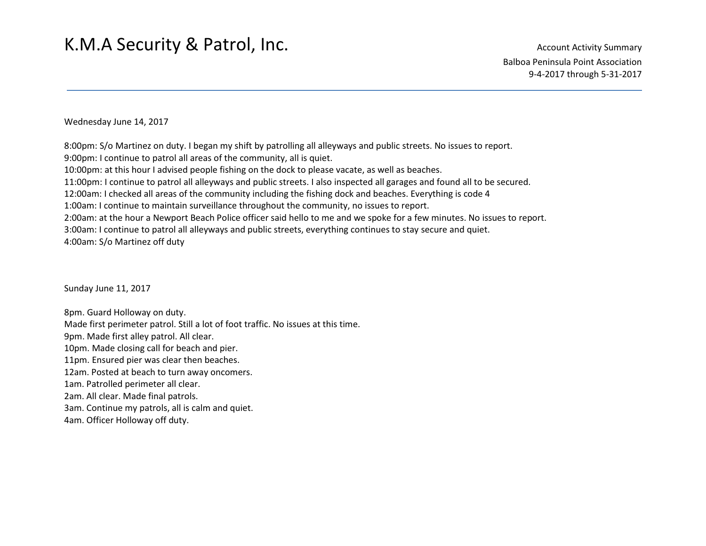Wednesday June 14, 2017

8:00pm: S/o Martinez on duty. I began my shift by patrolling all alleyways and public streets. No issues to report. 9:00pm: I continue to patrol all areas of the community, all is quiet. 10:00pm: at this hour I advised people fishing on the dock to please vacate, as well as beaches. 11:00pm: I continue to patrol all alleyways and public streets. I also inspected all garages and found all to be secured. 12:00am: I checked all areas of the community including the fishing dock and beaches. Everything is code 4 1:00am: I continue to maintain surveillance throughout the community, no issues to report. 2:00am: at the hour a Newport Beach Police officer said hello to me and we spoke for a few minutes. No issues to report. 3:00am: I continue to patrol all alleyways and public streets, everything continues to stay secure and quiet. 4:00am: S/o Martinez off duty

Sunday June 11, 2017

8pm. Guard Holloway on duty. Made first perimeter patrol. Still a lot of foot traffic. No issues at this time. 9pm. Made first alley patrol. All clear. 10pm. Made closing call for beach and pier. 11pm. Ensured pier was clear then beaches. 12am. Posted at beach to turn away oncomers. 1am. Patrolled perimeter all clear. 2am. All clear. Made final patrols. 3am. Continue my patrols, all is calm and quiet.

4am. Officer Holloway off duty.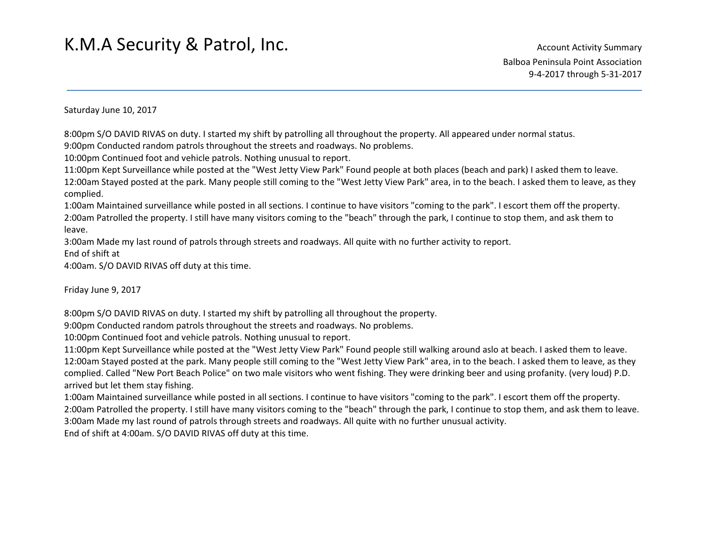Saturday June 10, 2017

8:00pm S/O DAVID RIVAS on duty. I started my shift by patrolling all throughout the property. All appeared under normal status.

9:00pm Conducted random patrols throughout the streets and roadways. No problems.

10:00pm Continued foot and vehicle patrols. Nothing unusual to report.

11:00pm Kept Surveillance while posted at the "West Jetty View Park" Found people at both places (beach and park) I asked them to leave. 12:00am Stayed posted at the park. Many people still coming to the "West Jetty View Park" area, in to the beach. I asked them to leave, as they complied.

1:00am Maintained surveillance while posted in all sections. I continue to have visitors "coming to the park". I escort them off the property. 2:00am Patrolled the property. I still have many visitors coming to the "beach" through the park, I continue to stop them, and ask them to leave.

3:00am Made my last round of patrols through streets and roadways. All quite with no further activity to report.

End of shift at

4:00am. S/O DAVID RIVAS off duty at this time.

Friday June 9, 2017

8:00pm S/O DAVID RIVAS on duty. I started my shift by patrolling all throughout the property.

9:00pm Conducted random patrols throughout the streets and roadways. No problems.

10:00pm Continued foot and vehicle patrols. Nothing unusual to report.

11:00pm Kept Surveillance while posted at the "West Jetty View Park" Found people still walking around aslo at beach. I asked them to leave. 12:00am Stayed posted at the park. Many people still coming to the "West Jetty View Park" area, in to the beach. I asked them to leave, as they complied. Called "New Port Beach Police" on two male visitors who went fishing. They were drinking beer and using profanity. (very loud) P.D. arrived but let them stay fishing.

1:00am Maintained surveillance while posted in all sections. I continue to have visitors "coming to the park". I escort them off the property. 2:00am Patrolled the property. I still have many visitors coming to the "beach" through the park, I continue to stop them, and ask them to leave. 3:00am Made my last round of patrols through streets and roadways. All quite with no further unusual activity. End of shift at 4:00am. S/O DAVID RIVAS off duty at this time.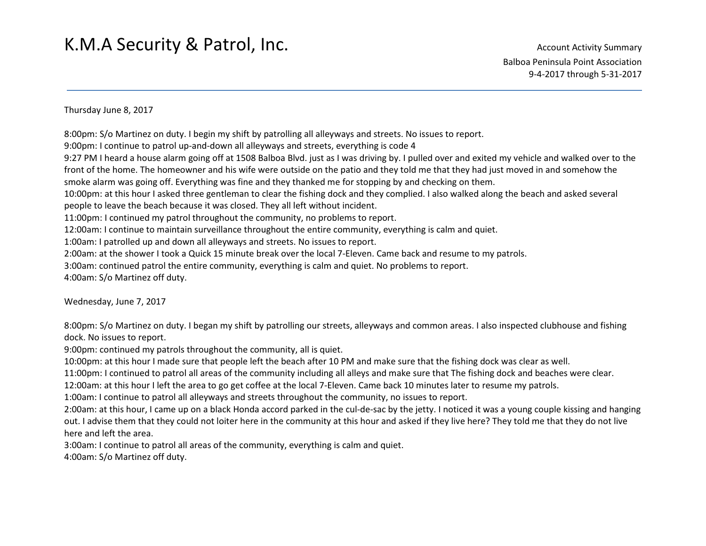#### Thursday June 8, 2017

8:00pm: S/o Martinez on duty. I begin my shift by patrolling all alleyways and streets. No issues to report. 9:00pm: I continue to patrol up-and-down all alleyways and streets, everything is code 4 9:27 PM I heard a house alarm going off at 1508 Balboa Blvd. just as I was driving by. I pulled over and exited my vehicle and walked over to the front of the home. The homeowner and his wife were outside on the patio and they told me that they had just moved in and somehow the smoke alarm was going off. Everything was fine and they thanked me for stopping by and checking on them. 10:00pm: at this hour I asked three gentleman to clear the fishing dock and they complied. I also walked along the beach and asked several people to leave the beach because it was closed. They all left without incident. 11:00pm: I continued my patrol throughout the community, no problems to report. 12:00am: I continue to maintain surveillance throughout the entire community, everything is calm and quiet. 1:00am: I patrolled up and down all alleyways and streets. No issues to report. 2:00am: at the shower I took a Quick 15 minute break over the local 7-Eleven. Came back and resume to my patrols. 3:00am: continued patrol the entire community, everything is calm and quiet. No problems to report. 4:00am: S/o Martinez off duty.

Wednesday, June 7, 2017

8:00pm: S/o Martinez on duty. I began my shift by patrolling our streets, alleyways and common areas. I also inspected clubhouse and fishing dock. No issues to report.

9:00pm: continued my patrols throughout the community, all is quiet.

10:00pm: at this hour I made sure that people left the beach after 10 PM and make sure that the fishing dock was clear as well.

11:00pm: I continued to patrol all areas of the community including all alleys and make sure that The fishing dock and beaches were clear.

12:00am: at this hour I left the area to go get coffee at the local 7-Eleven. Came back 10 minutes later to resume my patrols.

1:00am: I continue to patrol all alleyways and streets throughout the community, no issues to report.

2:00am: at this hour, I came up on a black Honda accord parked in the cul-de-sac by the jetty. I noticed it was a young couple kissing and hanging out. I advise them that they could not loiter here in the community at this hour and asked if they live here? They told me that they do not live here and left the area.

3:00am: I continue to patrol all areas of the community, everything is calm and quiet.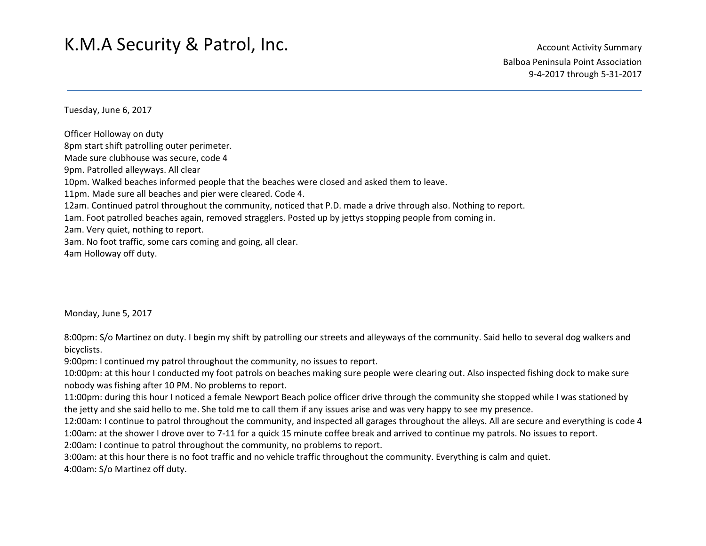Account Activity Summary Balboa Peninsula Point Association 9-4-2017 through 5-31-2017

Tuesday, June 6, 2017

Officer Holloway on duty 8pm start shift patrolling outer perimeter. Made sure clubhouse was secure, code 4 9pm. Patrolled alleyways. All clear 10pm. Walked beaches informed people that the beaches were closed and asked them to leave. 11pm. Made sure all beaches and pier were cleared. Code 4. 12am. Continued patrol throughout the community, noticed that P.D. made a drive through also. Nothing to report. 1am. Foot patrolled beaches again, removed stragglers. Posted up by jettys stopping people from coming in. 2am. Very quiet, nothing to report. 3am. No foot traffic, some cars coming and going, all clear. 4am Holloway off duty.

Monday, June 5, 2017

8:00pm: S/o Martinez on duty. I begin my shift by patrolling our streets and alleyways of the community. Said hello to several dog walkers and bicyclists.

9:00pm: I continued my patrol throughout the community, no issues to report.

10:00pm: at this hour I conducted my foot patrols on beaches making sure people were clearing out. Also inspected fishing dock to make sure nobody was fishing after 10 PM. No problems to report.

11:00pm: during this hour I noticed a female Newport Beach police officer drive through the community she stopped while I was stationed by the jetty and she said hello to me. She told me to call them if any issues arise and was very happy to see my presence.

12:00am: I continue to patrol throughout the community, and inspected all garages throughout the alleys. All are secure and everything is code 4 1:00am: at the shower I drove over to 7-11 for a quick 15 minute coffee break and arrived to continue my patrols. No issues to report.

2:00am: I continue to patrol throughout the community, no problems to report.

3:00am: at this hour there is no foot traffic and no vehicle traffic throughout the community. Everything is calm and quiet.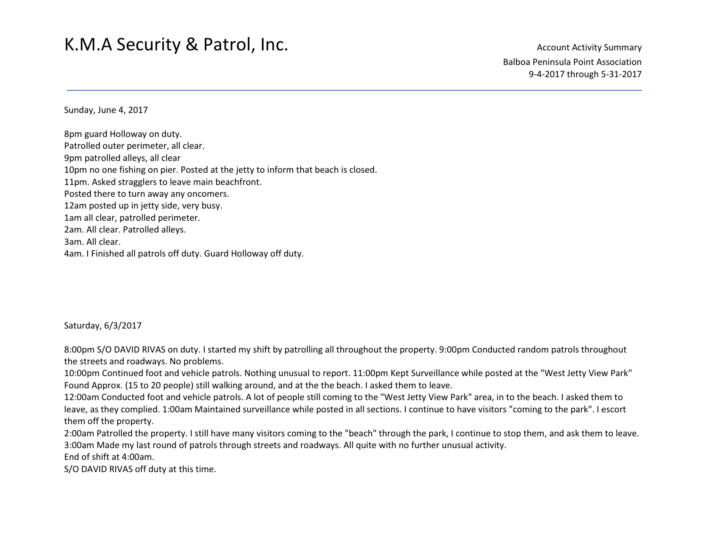Account Activity Summary Balboa Peninsula Point Association 9-4-2017 through 5-31-2017

Sunday, June 4, 2017

8pm guard Holloway on duty. Patrolled outer perimeter, all clear. 9pm patrolled alleys, all clear 10pm no one fishing on pier. Posted at the jetty to inform that beach is closed. 11pm. Asked stragglers to leave main beachfront. Posted there to turn away any oncomers. 12am posted up in jetty side, very busy. 1am all clear, patrolled perimeter. 2am. All clear. Patrolled alleys. 3am. All clear. 4am. I Finished all patrols off duty. Guard Holloway off duty.

Saturday, 6/3/2017

8:00pm S/O DAVID RIVAS on duty. I started my shift by patrolling all throughout the property. 9:00pm Conducted random patrols throughout the streets and roadways. No problems.

10:00pm Continued foot and vehicle patrols. Nothing unusual to report. 11:00pm Kept Surveillance while posted at the "West Jetty View Park" Found Approx. (15 to 20 people) still walking around, and at the the beach. I asked them to leave.

12:00am Conducted foot and vehicle patrols. A lot of people still coming to the "West Jetty View Park" area, in to the beach. I asked them to leave, as they complied. 1:00am Maintained surveillance while posted in all sections. I continue to have visitors "coming to the park". I escort them off the property.

2:00am Patrolled the property. I still have many visitors coming to the "beach" through the park, I continue to stop them, and ask them to leave. 3:00am Made my last round of patrols through streets and roadways. All quite with no further unusual activity. End of shift at 4:00am.

S/O DAVID RIVAS off duty at this time.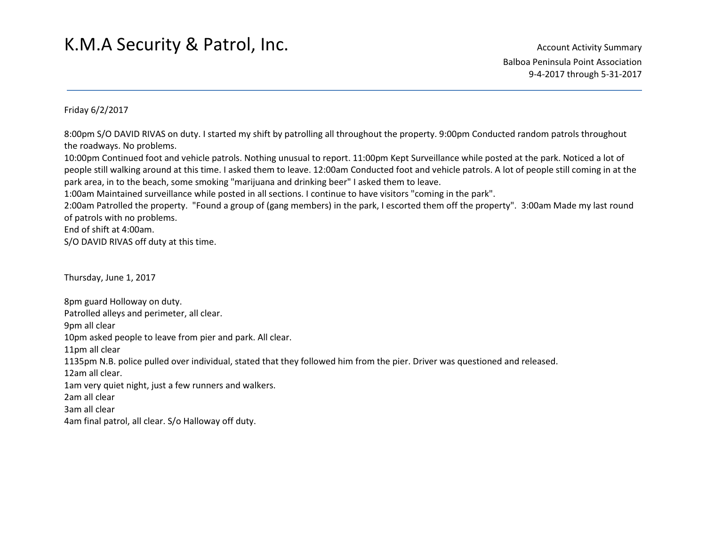Friday 6/2/2017

8:00pm S/O DAVID RIVAS on duty. I started my shift by patrolling all throughout the property. 9:00pm Conducted random patrols throughout the roadways. No problems.

10:00pm Continued foot and vehicle patrols. Nothing unusual to report. 11:00pm Kept Surveillance while posted at the park. Noticed a lot of people still walking around at this time. I asked them to leave. 12:00am Conducted foot and vehicle patrols. A lot of people still coming in at the park area, in to the beach, some smoking "marijuana and drinking beer" I asked them to leave.

1:00am Maintained surveillance while posted in all sections. I continue to have visitors "coming in the park".

 2:00am Patrolled the property. "Found a group of (gang members) in the park, I escorted them off the property". 3:00am Made my last round of patrols with no problems.

End of shift at 4:00am.

S/O DAVID RIVAS off duty at this time.

Thursday, June 1, 2017

8pm guard Holloway on duty. Patrolled alleys and perimeter, all clear. 9pm all clear 10pm asked people to leave from pier and park. All clear. 11pm all clear 1135pm N.B. police pulled over individual, stated that they followed him from the pier. Driver was questioned and released. 12am all clear. 1am very quiet night, just a few runners and walkers. 2am all clear 3am all clear

4am final patrol, all clear. S/o Halloway off duty.